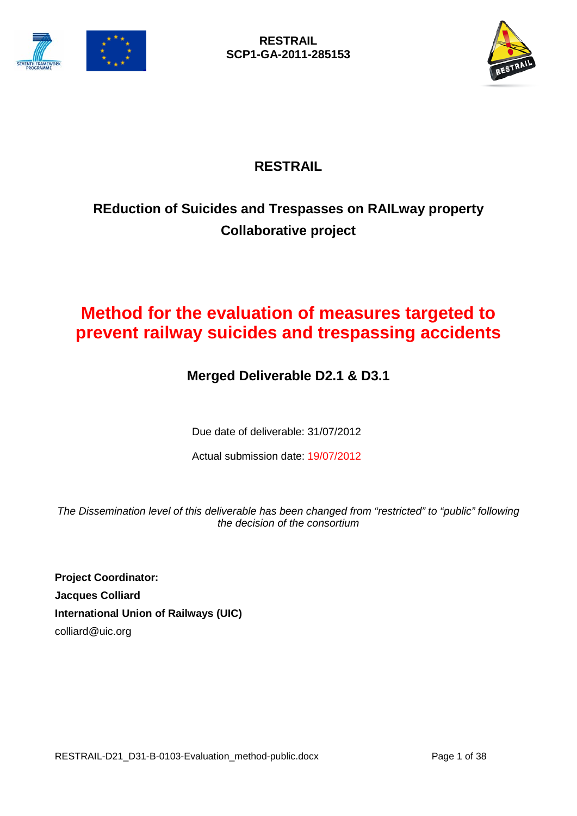



# **RESTRAIL**

# **REduction of Suicides and Trespasses on RAILway property Collaborative project**

# **Method for the evaluation of measures targeted to prevent railway suicides and trespassing accidents**

## **Merged Deliverable D2.1 & D3.1**

Due date of deliverable: 31/07/2012

Actual submission date: 19/07/2012

*The Dissemination level of this deliverable has been changed from "restricted" to "public" following the decision of the consortium* 

**Project Coordinator: Jacques Colliard International Union of Railways (UIC)** colliard@uic.org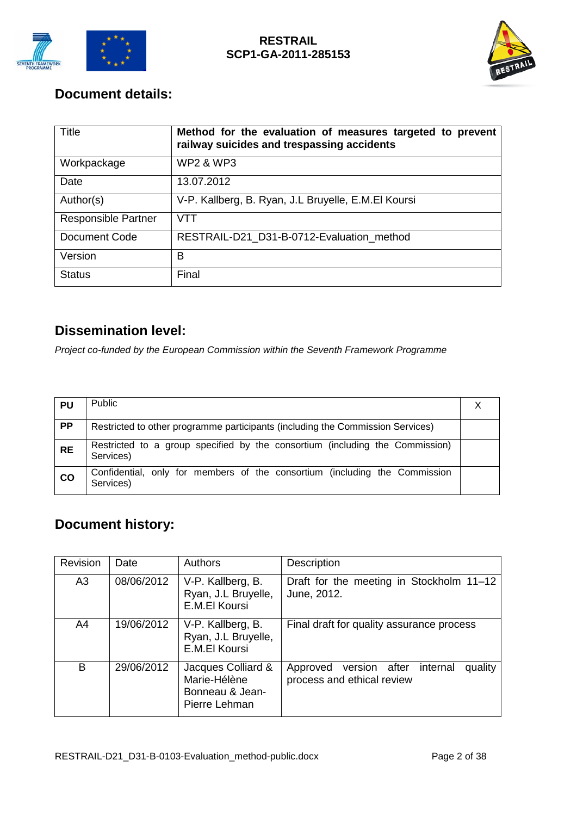



## **Document details:**

| Title                      | Method for the evaluation of measures targeted to prevent<br>railway suicides and trespassing accidents |
|----------------------------|---------------------------------------------------------------------------------------------------------|
| Workpackage                | <b>WP2 &amp; WP3</b>                                                                                    |
| Date                       | 13.07.2012                                                                                              |
| Author(s)                  | V-P. Kallberg, B. Ryan, J.L Bruyelle, E.M.El Koursi                                                     |
| <b>Responsible Partner</b> | VTT                                                                                                     |
| Document Code              | RESTRAIL-D21 D31-B-0712-Evaluation method                                                               |
| Version                    | в                                                                                                       |
| <b>Status</b>              | Final                                                                                                   |

## **Dissemination level:**

*Project co-funded by the European Commission within the Seventh Framework Programme*

| <b>PU</b>     | <b>Public</b>                                                                             |  |
|---------------|-------------------------------------------------------------------------------------------|--|
| <b>PP</b>     | Restricted to other programme participants (including the Commission Services)            |  |
| <b>RE</b>     | Restricted to a group specified by the consortium (including the Commission)<br>Services) |  |
| $\mathsf{co}$ | Confidential, only for members of the consortium (including the Commission<br>Services)   |  |

## **Document history:**

| Revision       | Date       | Authors                                                                | <b>Description</b>                                                             |  |  |  |
|----------------|------------|------------------------------------------------------------------------|--------------------------------------------------------------------------------|--|--|--|
| A <sub>3</sub> | 08/06/2012 | V-P. Kallberg, B.<br>Ryan, J.L Bruyelle,<br>E.M.El Koursi              | Draft for the meeting in Stockholm 11-12<br>June, 2012.                        |  |  |  |
| A4             | 19/06/2012 | V-P. Kallberg, B.<br>Ryan, J.L Bruyelle,<br>E.M.El Koursi              | Final draft for quality assurance process                                      |  |  |  |
| B              | 29/06/2012 | Jacques Colliard &<br>Marie-Hélène<br>Bonneau & Jean-<br>Pierre Lehman | quality<br>internal<br>Approved<br>version after<br>process and ethical review |  |  |  |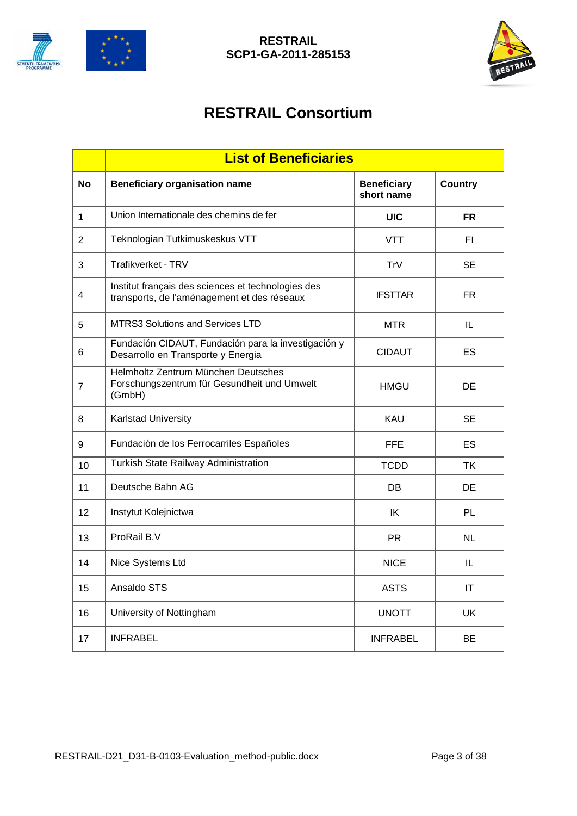



# **RESTRAIL Consortium**

|                | <b>List of Beneficiaries</b>                                                                      |                                  |                |  |  |  |
|----------------|---------------------------------------------------------------------------------------------------|----------------------------------|----------------|--|--|--|
| <b>No</b>      | <b>Beneficiary organisation name</b>                                                              | <b>Beneficiary</b><br>short name | <b>Country</b> |  |  |  |
| 1              | Union Internationale des chemins de fer                                                           | <b>UIC</b>                       | <b>FR</b>      |  |  |  |
| $\overline{2}$ | Teknologian Tutkimuskeskus VTT                                                                    | <b>VTT</b>                       | FI             |  |  |  |
| 3              | Trafikverket - TRV                                                                                | TrV                              | <b>SE</b>      |  |  |  |
| 4              | Institut français des sciences et technologies des<br>transports, de l'aménagement et des réseaux | <b>IFSTTAR</b>                   | FR.            |  |  |  |
| 5              | <b>MTRS3 Solutions and Services LTD</b>                                                           | <b>MTR</b>                       | IL             |  |  |  |
| 6              | Fundación CIDAUT, Fundación para la investigación y<br>Desarrollo en Transporte y Energia         | <b>CIDAUT</b>                    | ES             |  |  |  |
| 7              | Helmholtz Zentrum München Deutsches<br>Forschungszentrum für Gesundheit und Umwelt<br>(GmbH)      | <b>HMGU</b>                      | DE             |  |  |  |
| 8              | Karlstad University                                                                               | <b>KAU</b>                       | <b>SE</b>      |  |  |  |
| 9              | Fundación de los Ferrocarriles Españoles                                                          | <b>FFE</b>                       | ES             |  |  |  |
| 10             | Turkish State Railway Administration                                                              | <b>TCDD</b>                      | ΤK             |  |  |  |
| 11             | Deutsche Bahn AG                                                                                  | DB                               | <b>DE</b>      |  |  |  |
| 12             | Instytut Kolejnictwa                                                                              | IK                               | <b>PL</b>      |  |  |  |
| 13             | ProRail B.V                                                                                       | <b>PR</b>                        | <b>NL</b>      |  |  |  |
| 14             | Nice Systems Ltd                                                                                  | <b>NICE</b>                      | IL             |  |  |  |
| 15             | Ansaldo STS                                                                                       | <b>ASTS</b>                      | IT             |  |  |  |
| 16             | University of Nottingham                                                                          | <b>UNOTT</b>                     | <b>UK</b>      |  |  |  |
| 17             | <b>INFRABEL</b>                                                                                   | <b>INFRABEL</b>                  | <b>BE</b>      |  |  |  |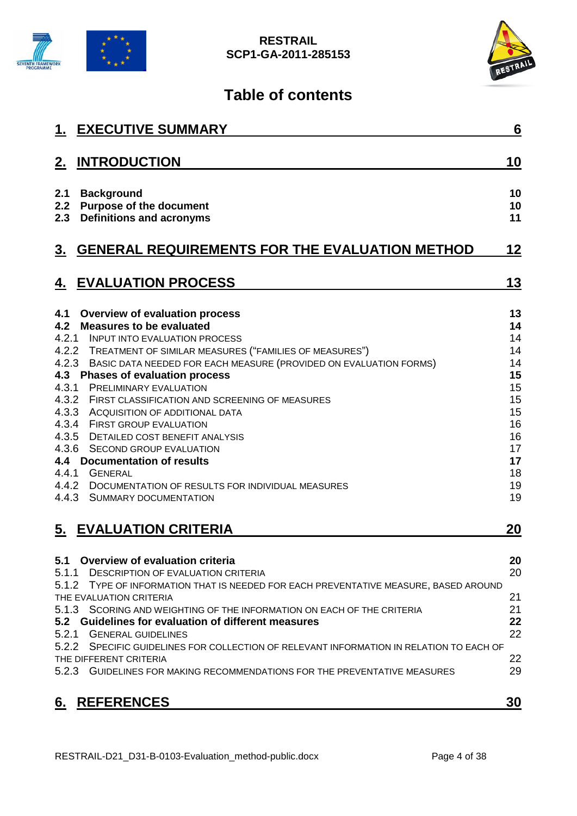



# **Table of contents**

|                                                | <b>1. EXECUTIVE SUMMARY</b>                                                                                                                                                                                                                                                                                                                                                                                                                                                                                                                                                                                                                                             | 6                                                                                            |
|------------------------------------------------|-------------------------------------------------------------------------------------------------------------------------------------------------------------------------------------------------------------------------------------------------------------------------------------------------------------------------------------------------------------------------------------------------------------------------------------------------------------------------------------------------------------------------------------------------------------------------------------------------------------------------------------------------------------------------|----------------------------------------------------------------------------------------------|
| 2.                                             | <b>INTRODUCTION</b>                                                                                                                                                                                                                                                                                                                                                                                                                                                                                                                                                                                                                                                     | 10                                                                                           |
| 2.1<br>2.2<br>2.3                              | <b>Background</b><br><b>Purpose of the document</b><br><b>Definitions and acronyms</b>                                                                                                                                                                                                                                                                                                                                                                                                                                                                                                                                                                                  | 10<br>10<br>11                                                                               |
| <u>3.</u>                                      | <b>GENERAL REQUIREMENTS FOR THE EVALUATION METHOD</b>                                                                                                                                                                                                                                                                                                                                                                                                                                                                                                                                                                                                                   | 12                                                                                           |
| 4.                                             | <b>EVALUATION PROCESS</b>                                                                                                                                                                                                                                                                                                                                                                                                                                                                                                                                                                                                                                               | 13                                                                                           |
| 4.1<br>4.2<br>4.3.1<br>4.3.2<br>4.3.3<br>4.3.4 | <b>Overview of evaluation process</b><br><b>Measures to be evaluated</b><br>4.2.1 INPUT INTO EVALUATION PROCESS<br>4.2.2 TREATMENT OF SIMILAR MEASURES ("FAMILIES OF MEASURES")<br>4.2.3 BASIC DATA NEEDED FOR EACH MEASURE (PROVIDED ON EVALUATION FORMS)<br>4.3 Phases of evaluation process<br><b>PRELIMINARY EVALUATION</b><br>FIRST CLASSIFICATION AND SCREENING OF MEASURES<br>ACQUISITION OF ADDITIONAL DATA<br><b>FIRST GROUP EVALUATION</b><br>4.3.5 DETAILED COST BENEFIT ANALYSIS<br>4.3.6 SECOND GROUP EVALUATION<br>4.4 Documentation of results<br>4.4.1 GENERAL<br>4.4.2 DOCUMENTATION OF RESULTS FOR INDIVIDUAL MEASURES<br>4.4.3 SUMMARY DOCUMENTATION | 13<br>14<br>14<br>14<br>14<br>15<br>15<br>15<br>15<br>16<br>16<br>17<br>17<br>18<br>19<br>19 |
|                                                | 5. EVALUATION CRITERIA                                                                                                                                                                                                                                                                                                                                                                                                                                                                                                                                                                                                                                                  | 20                                                                                           |
| 5.1<br>5.1.1<br>5.2.1                          | Overview of evaluation criteria<br><b>DESCRIPTION OF EVALUATION CRITERIA</b><br>5.1.2 TYPE OF INFORMATION THAT IS NEEDED FOR EACH PREVENTATIVE MEASURE, BASED AROUND<br>THE EVALUATION CRITERIA<br>5.1.3 SCORING AND WEIGHTING OF THE INFORMATION ON EACH OF THE CRITERIA<br>5.2 Guidelines for evaluation of different measures<br><b>GENERAL GUIDELINES</b><br>5.2.2 SPECIFIC GUIDELINES FOR COLLECTION OF RELEVANT INFORMATION IN RELATION TO EACH OF<br>THE DIFFERENT CRITERIA<br>5.2.3 GUIDELINES FOR MAKING RECOMMENDATIONS FOR THE PREVENTATIVE MEASURES                                                                                                         | 20<br>20<br>21<br>21<br>22<br>22<br>22<br>29                                                 |
| 6.                                             | <b>REFERENCES</b>                                                                                                                                                                                                                                                                                                                                                                                                                                                                                                                                                                                                                                                       | 30                                                                                           |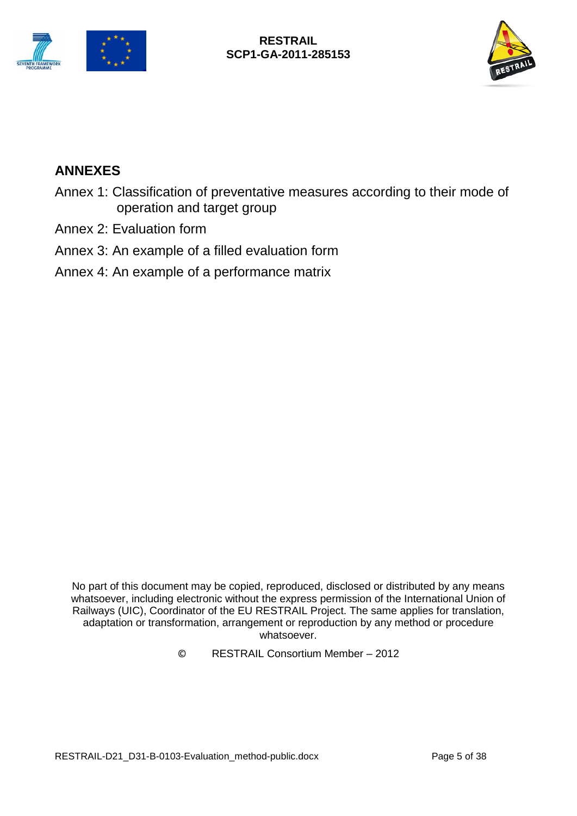



## **ANNEXES**

- Annex 1: Classification of preventative measures according to their mode of operation and target group
- Annex 2: Evaluation form
- Annex 3: An example of a filled evaluation form
- Annex 4: An example of a performance matrix

No part of this document may be copied, reproduced, disclosed or distributed by any means whatsoever, including electronic without the express permission of the International Union of Railways (UIC), Coordinator of the EU RESTRAIL Project. The same applies for translation, adaptation or transformation, arrangement or reproduction by any method or procedure whatsoever.

© RESTRAIL Consortium Member – 2012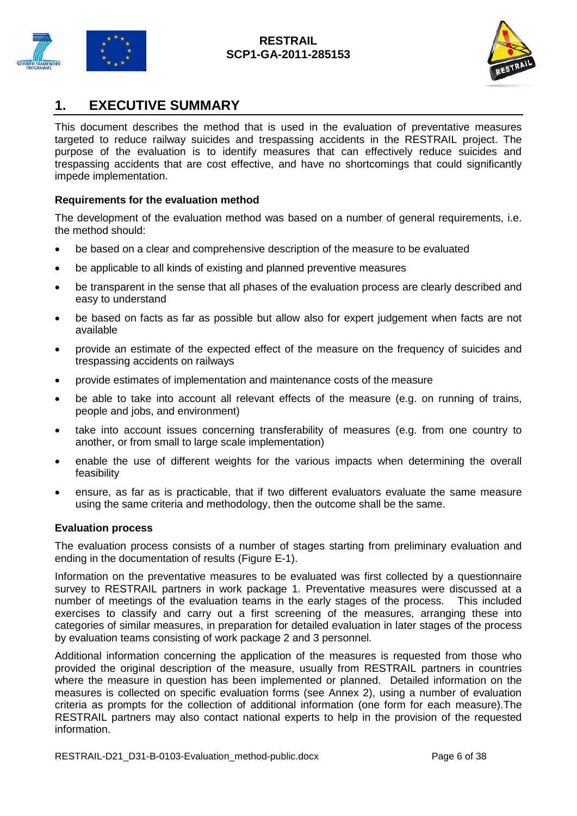



## <span id="page-5-0"></span>**1. EXECUTIVE SUMMARY**

This document describes the method that is used in the evaluation of preventative measures targeted to reduce railway suicides and trespassing accidents in the RESTRAIL project. The purpose of the evaluation is to identify measures that can effectively reduce suicides and trespassing accidents that are cost effective, and have no shortcomings that could significantly impede implementation.

#### **Requirements for the evaluation method**

The development of the evaluation method was based on a number of general requirements, i.e. the method should:

- be based on a clear and comprehensive description of the measure to be evaluated
- be applicable to all kinds of existing and planned preventive measures
- be transparent in the sense that all phases of the evaluation process are clearly described and easy to understand
- be based on facts as far as possible but allow also for expert judgement when facts are not available
- provide an estimate of the expected effect of the measure on the frequency of suicides and trespassing accidents on railways
- provide estimates of implementation and maintenance costs of the measure
- be able to take into account all relevant effects of the measure (e.g. on running of trains, people and jobs, and environment)
- take into account issues concerning transferability of measures (e.g. from one country to another, or from small to large scale implementation)
- enable the use of different weights for the various impacts when determining the overall feasibility
- ensure, as far as is practicable, that if two different evaluators evaluate the same measure using the same criteria and methodology, then the outcome shall be the same.

#### **Evaluation process**

The evaluation process consists of a number of stages starting from preliminary evaluation and ending in the documentation of results (Figure E-1).

Information on the preventative measures to be evaluated was first collected by a questionnaire survey to RESTRAIL partners in work package 1. Preventative measures were discussed at a number of meetings of the evaluation teams in the early stages of the process. This included exercises to classify and carry out a first screening of the measures, arranging these into categories of similar measures, in preparation for detailed evaluation in later stages of the process by evaluation teams consisting of work package 2 and 3 personnel.

Additional information concerning the application of the measures is requested from those who provided the original description of the measure, usually from RESTRAIL partners in countries where the measure in question has been implemented or planned. Detailed information on the measures is collected on specific evaluation forms (see Annex 2), using a number of evaluation criteria as prompts for the collection of additional information (one form for each measure).The RESTRAIL partners may also contact national experts to help in the provision of the requested information.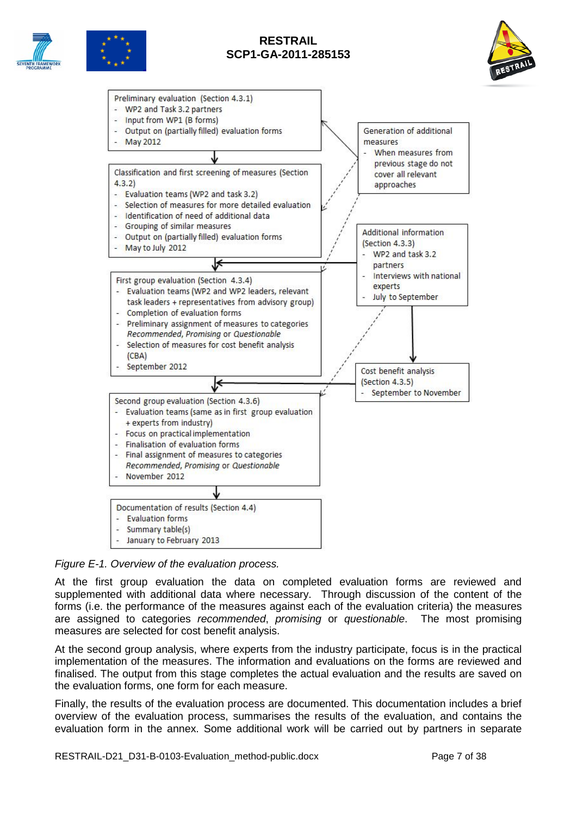







*Figure E-1. Overview of the evaluation process.*

At the first group evaluation the data on completed evaluation forms are reviewed and supplemented with additional data where necessary. Through discussion of the content of the forms (i.e. the performance of the measures against each of the evaluation criteria) the measures are assigned to categories *recommended*, *promising* or *questionable*. The most promising measures are selected for cost benefit analysis.

At the second group analysis, where experts from the industry participate, focus is in the practical implementation of the measures. The information and evaluations on the forms are reviewed and finalised. The output from this stage completes the actual evaluation and the results are saved on the evaluation forms, one form for each measure.

Finally, the results of the evaluation process are documented. This documentation includes a brief overview of the evaluation process, summarises the results of the evaluation, and contains the evaluation form in the annex. Some additional work will be carried out by partners in separate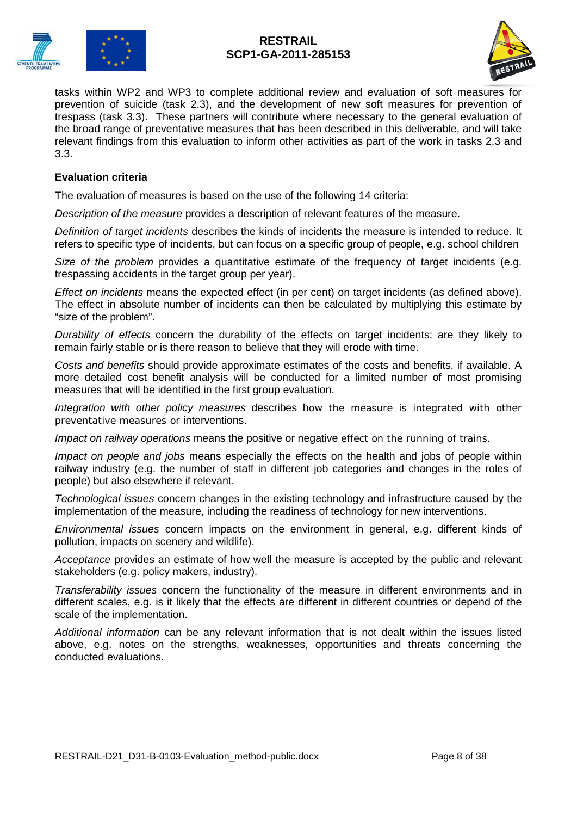



tasks within WP2 and WP3 to complete additional review and evaluation of soft measures for prevention of suicide (task 2.3), and the development of new soft measures for prevention of trespass (task 3.3). These partners will contribute where necessary to the general evaluation of the broad range of preventative measures that has been described in this deliverable, and will take relevant findings from this evaluation to inform other activities as part of the work in tasks 2.3 and 3.3.

#### **Evaluation criteria**

The evaluation of measures is based on the use of the following 14 criteria:

*Description of the measure* provides a description of relevant features of the measure.

*Definition of target incidents* describes the kinds of incidents the measure is intended to reduce. It refers to specific type of incidents, but can focus on a specific group of people, e.g. school children

*Size of the problem* provides a quantitative estimate of the frequency of target incidents (e.g. trespassing accidents in the target group per year).

*Effect on incidents* means the expected effect (in per cent) on target incidents (as defined above). The effect in absolute number of incidents can then be calculated by multiplying this estimate by "size of the problem".

*Durability of effects* concern the durability of the effects on target incidents: are they likely to remain fairly stable or is there reason to believe that they will erode with time.

*Costs and benefits* should provide approximate estimates of the costs and benefits, if available. A more detailed cost benefit analysis will be conducted for a limited number of most promising measures that will be identified in the first group evaluation.

*Integration with other policy measures* describes how the measure is integrated with other preventative measures or interventions.

*Impact on railway operations* means the positive or negative effect on the running of trains.

*Impact on people and jobs* means especially the effects on the health and jobs of people within railway industry (e.g. the number of staff in different job categories and changes in the roles of people) but also elsewhere if relevant.

*Technological issues* concern changes in the existing technology and infrastructure caused by the implementation of the measure, including the readiness of technology for new interventions.

*Environmental issues* concern impacts on the environment in general, e.g. different kinds of pollution, impacts on scenery and wildlife).

*Acceptance* provides an estimate of how well the measure is accepted by the public and relevant stakeholders (e.g. policy makers, industry).

*Transferability issues* concern the functionality of the measure in different environments and in different scales, e.g. is it likely that the effects are different in different countries or depend of the scale of the implementation.

*Additional information* can be any relevant information that is not dealt within the issues listed above, e.g. notes on the strengths, weaknesses, opportunities and threats concerning the conducted evaluations.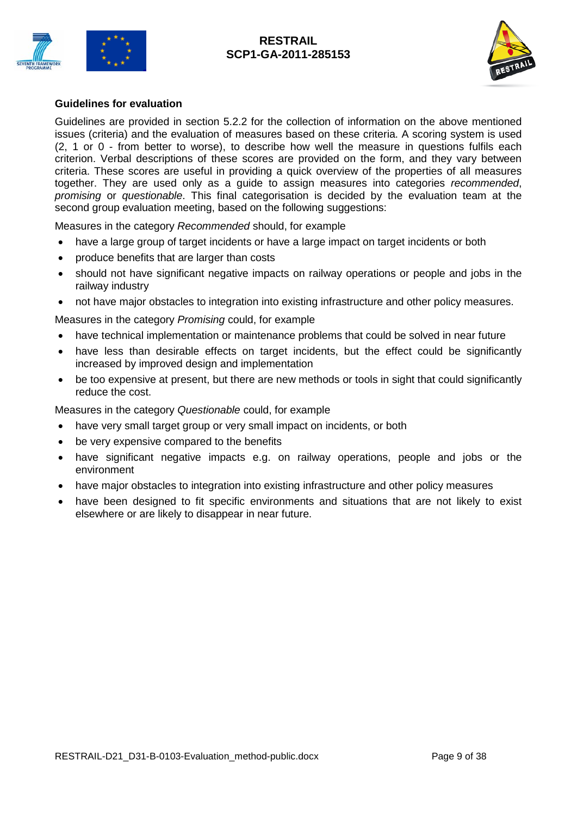



#### **Guidelines for evaluation**

Guidelines are provided in section 5.2.2 for the collection of information on the above mentioned issues (criteria) and the evaluation of measures based on these criteria. A scoring system is used (2, 1 or 0 - from better to worse), to describe how well the measure in questions fulfils each criterion. Verbal descriptions of these scores are provided on the form, and they vary between criteria. These scores are useful in providing a quick overview of the properties of all measures together. They are used only as a guide to assign measures into categories *recommended*, *promising* or *questionable*. This final categorisation is decided by the evaluation team at the second group evaluation meeting, based on the following suggestions:

Measures in the category *Recommended* should, for example

- have a large group of target incidents or have a large impact on target incidents or both
- produce benefits that are larger than costs
- should not have significant negative impacts on railway operations or people and jobs in the railway industry
- not have major obstacles to integration into existing infrastructure and other policy measures.

Measures in the category *Promising* could, for example

- have technical implementation or maintenance problems that could be solved in near future
- have less than desirable effects on target incidents, but the effect could be significantly increased by improved design and implementation
- be too expensive at present, but there are new methods or tools in sight that could significantly reduce the cost.

Measures in the category *Questionable* could, for example

- have very small target group or very small impact on incidents, or both
- be very expensive compared to the benefits
- have significant negative impacts e.g. on railway operations, people and jobs or the environment
- have major obstacles to integration into existing infrastructure and other policy measures
- have been designed to fit specific environments and situations that are not likely to exist elsewhere or are likely to disappear in near future.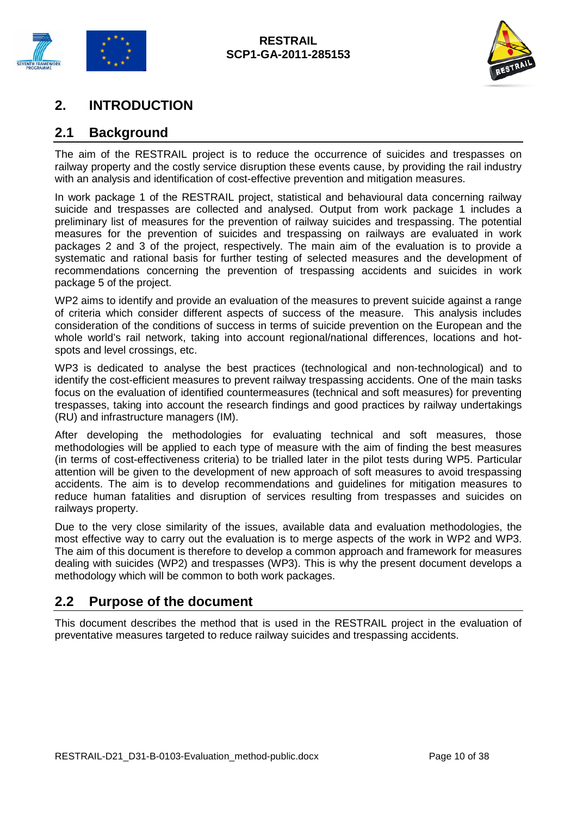



## <span id="page-9-0"></span>**2. INTRODUCTION**

## <span id="page-9-1"></span>**2.1 Background**

The aim of the RESTRAIL project is to reduce the occurrence of suicides and trespasses on railway property and the costly service disruption these events cause, by providing the rail industry with an analysis and identification of cost-effective prevention and mitigation measures.

In work package 1 of the RESTRAIL project, statistical and behavioural data concerning railway suicide and trespasses are collected and analysed. Output from work package 1 includes a preliminary list of measures for the prevention of railway suicides and trespassing. The potential measures for the prevention of suicides and trespassing on railways are evaluated in work packages 2 and 3 of the project, respectively. The main aim of the evaluation is to provide a systematic and rational basis for further testing of selected measures and the development of recommendations concerning the prevention of trespassing accidents and suicides in work package 5 of the project.

WP2 aims to identify and provide an evaluation of the measures to prevent suicide against a range of criteria which consider different aspects of success of the measure. This analysis includes consideration of the conditions of success in terms of suicide prevention on the European and the whole world's rail network, taking into account regional/national differences, locations and hotspots and level crossings, etc.

WP3 is dedicated to analyse the best practices (technological and non-technological) and to identify the cost-efficient measures to prevent railway trespassing accidents. One of the main tasks focus on the evaluation of identified countermeasures (technical and soft measures) for preventing trespasses, taking into account the research findings and good practices by railway undertakings (RU) and infrastructure managers (IM).

After developing the methodologies for evaluating technical and soft measures, those methodologies will be applied to each type of measure with the aim of finding the best measures (in terms of cost-effectiveness criteria) to be trialled later in the pilot tests during WP5. Particular attention will be given to the development of new approach of soft measures to avoid trespassing accidents. The aim is to develop recommendations and guidelines for mitigation measures to reduce human fatalities and disruption of services resulting from trespasses and suicides on railways property.

Due to the very close similarity of the issues, available data and evaluation methodologies, the most effective way to carry out the evaluation is to merge aspects of the work in WP2 and WP3. The aim of this document is therefore to develop a common approach and framework for measures dealing with suicides (WP2) and trespasses (WP3). This is why the present document develops a methodology which will be common to both work packages.

## <span id="page-9-2"></span>**2.2 Purpose of the document**

This document describes the method that is used in the RESTRAIL project in the evaluation of preventative measures targeted to reduce railway suicides and trespassing accidents.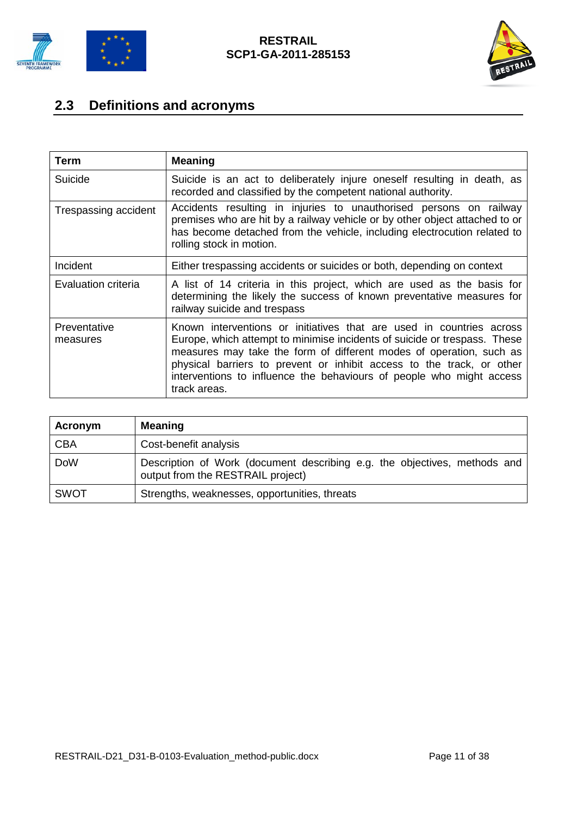



# <span id="page-10-0"></span>**2.3 Definitions and acronyms**

| Term                     | <b>Meaning</b>                                                                                                                                                                                                                                                                                                                                                                            |
|--------------------------|-------------------------------------------------------------------------------------------------------------------------------------------------------------------------------------------------------------------------------------------------------------------------------------------------------------------------------------------------------------------------------------------|
| Suicide                  | Suicide is an act to deliberately injure oneself resulting in death, as<br>recorded and classified by the competent national authority.                                                                                                                                                                                                                                                   |
| Trespassing accident     | Accidents resulting in injuries to unauthorised persons on railway<br>premises who are hit by a railway vehicle or by other object attached to or<br>has become detached from the vehicle, including electrocution related to<br>rolling stock in motion.                                                                                                                                 |
| Incident                 | Either trespassing accidents or suicides or both, depending on context                                                                                                                                                                                                                                                                                                                    |
| Evaluation criteria      | A list of 14 criteria in this project, which are used as the basis for<br>determining the likely the success of known preventative measures for<br>railway suicide and trespass                                                                                                                                                                                                           |
| Preventative<br>measures | Known interventions or initiatives that are used in countries across<br>Europe, which attempt to minimise incidents of suicide or trespass. These<br>measures may take the form of different modes of operation, such as<br>physical barriers to prevent or inhibit access to the track, or other<br>interventions to influence the behaviours of people who might access<br>track areas. |

| <b>Acronym</b> | <b>Meaning</b>                                                                                                   |
|----------------|------------------------------------------------------------------------------------------------------------------|
| <b>CBA</b>     | Cost-benefit analysis                                                                                            |
| <b>DoW</b>     | Description of Work (document describing e.g. the objectives, methods and  <br>output from the RESTRAIL project) |
| <b>SWOT</b>    | Strengths, weaknesses, opportunities, threats                                                                    |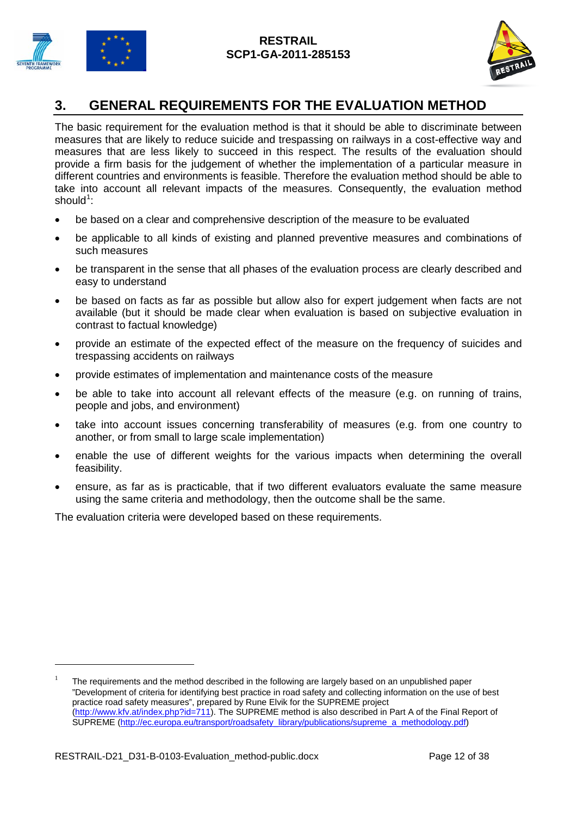



## <span id="page-11-0"></span>**3. GENERAL REQUIREMENTS FOR THE EVALUATION METHOD**

The basic requirement for the evaluation method is that it should be able to discriminate between measures that are likely to reduce suicide and trespassing on railways in a cost-effective way and measures that are less likely to succeed in this respect. The results of the evaluation should provide a firm basis for the judgement of whether the implementation of a particular measure in different countries and environments is feasible. Therefore the evaluation method should be able to take into account all relevant impacts of the measures. Consequently, the evaluation method  $should^1$  $should^1$ :

- be based on a clear and comprehensive description of the measure to be evaluated
- be applicable to all kinds of existing and planned preventive measures and combinations of such measures
- be transparent in the sense that all phases of the evaluation process are clearly described and easy to understand
- be based on facts as far as possible but allow also for expert judgement when facts are not available (but it should be made clear when evaluation is based on subjective evaluation in contrast to factual knowledge)
- provide an estimate of the expected effect of the measure on the frequency of suicides and trespassing accidents on railways
- provide estimates of implementation and maintenance costs of the measure
- be able to take into account all relevant effects of the measure (e.g. on running of trains, people and jobs, and environment)
- take into account issues concerning transferability of measures (e.g. from one country to another, or from small to large scale implementation)
- enable the use of different weights for the various impacts when determining the overall feasibility.
- ensure, as far as is practicable, that if two different evaluators evaluate the same measure using the same criteria and methodology, then the outcome shall be the same.

The evaluation criteria were developed based on these requirements.

-

<span id="page-11-1"></span>The requirements and the method described in the following are largely based on an unpublished paper "Development of criteria for identifying best practice in road safety and collecting information on the use of best practice road safety measures", prepared by Rune Elvik for the SUPREME project [\(http://www.kfv.at/index.php?id=711\)](http://www.kfv.at/index.php?id=711). The SUPREME method is also described in Part A of the Final Report of SUPREME [\(http://ec.europa.eu/transport/roadsafety\\_library/publications/supreme\\_a\\_methodology.pdf\)](http://ec.europa.eu/transport/roadsafety_library/publications/supreme_a_methodology.pdf))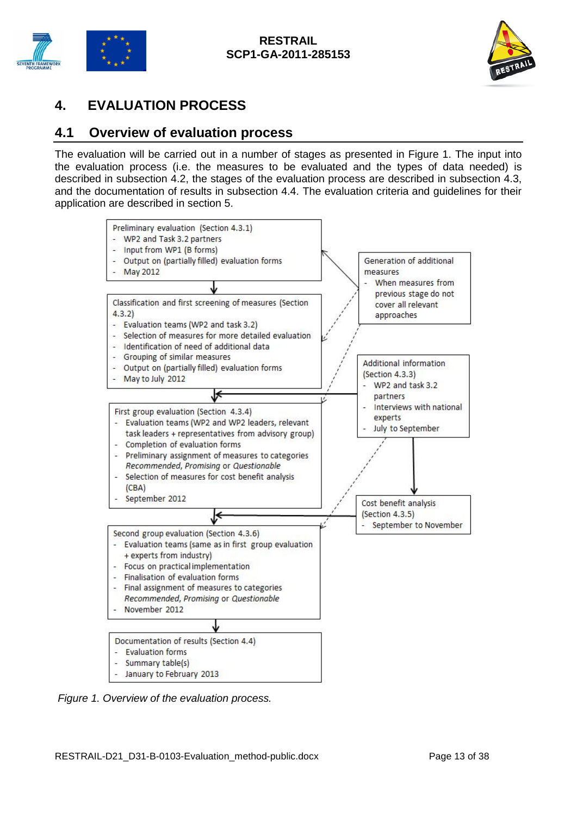



## <span id="page-12-0"></span>**4. EVALUATION PROCESS**

## <span id="page-12-1"></span>**4.1 Overview of evaluation process**

The evaluation will be carried out in a number of stages as presented in Figure 1. The input into the evaluation process (i.e. the measures to be evaluated and the types of data needed) is described in subsection 4.2, the stages of the evaluation process are described in subsection 4.3, and the documentation of results in subsection 4.4. The evaluation criteria and guidelines for their application are described in section 5.



*Figure 1. Overview of the evaluation process.*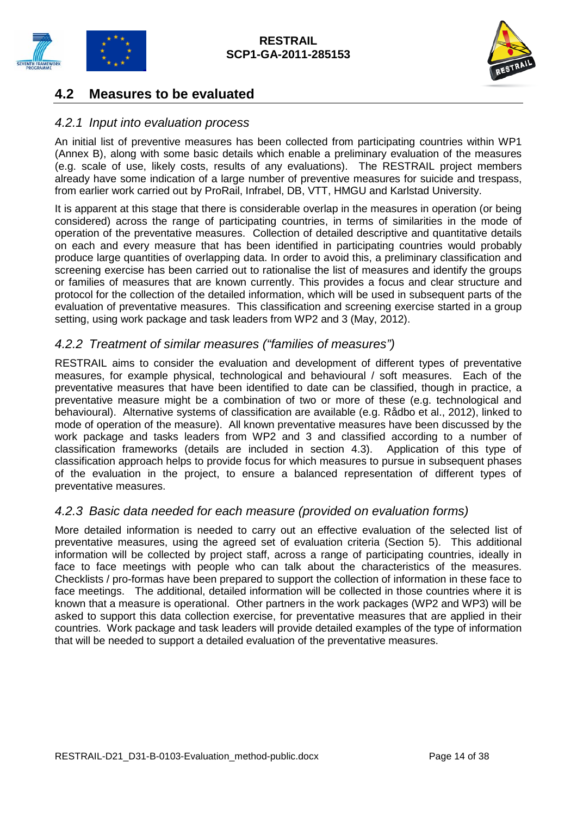



## <span id="page-13-0"></span>**4.2 Measures to be evaluated**

## <span id="page-13-1"></span>*4.2.1 Input into evaluation process*

An initial list of preventive measures has been collected from participating countries within WP1 (Annex B), along with some basic details which enable a preliminary evaluation of the measures (e.g. scale of use, likely costs, results of any evaluations). The RESTRAIL project members already have some indication of a large number of preventive measures for suicide and trespass, from earlier work carried out by ProRail, Infrabel, DB, VTT, HMGU and Karlstad University.

It is apparent at this stage that there is considerable overlap in the measures in operation (or being considered) across the range of participating countries, in terms of similarities in the mode of operation of the preventative measures. Collection of detailed descriptive and quantitative details on each and every measure that has been identified in participating countries would probably produce large quantities of overlapping data. In order to avoid this, a preliminary classification and screening exercise has been carried out to rationalise the list of measures and identify the groups or families of measures that are known currently. This provides a focus and clear structure and protocol for the collection of the detailed information, which will be used in subsequent parts of the evaluation of preventative measures. This classification and screening exercise started in a group setting, using work package and task leaders from WP2 and 3 (May, 2012).

## <span id="page-13-2"></span>*4.2.2 Treatment of similar measures ("families of measures")*

RESTRAIL aims to consider the evaluation and development of different types of preventative measures, for example physical, technological and behavioural / soft measures. Each of the preventative measures that have been identified to date can be classified, though in practice, a preventative measure might be a combination of two or more of these (e.g. technological and behavioural). Alternative systems of classification are available (e.g. Rådbo et al., 2012), linked to mode of operation of the measure). All known preventative measures have been discussed by the work package and tasks leaders from WP2 and 3 and classified according to a number of classification frameworks (details are included in section 4.3). Application of this type of classification approach helps to provide focus for which measures to pursue in subsequent phases of the evaluation in the project, to ensure a balanced representation of different types of preventative measures.

## <span id="page-13-3"></span>*4.2.3 Basic data needed for each measure (provided on evaluation forms)*

More detailed information is needed to carry out an effective evaluation of the selected list of preventative measures, using the agreed set of evaluation criteria (Section 5). This additional information will be collected by project staff, across a range of participating countries, ideally in face to face meetings with people who can talk about the characteristics of the measures. Checklists / pro-formas have been prepared to support the collection of information in these face to face meetings. The additional, detailed information will be collected in those countries where it is known that a measure is operational. Other partners in the work packages (WP2 and WP3) will be asked to support this data collection exercise, for preventative measures that are applied in their countries. Work package and task leaders will provide detailed examples of the type of information that will be needed to support a detailed evaluation of the preventative measures.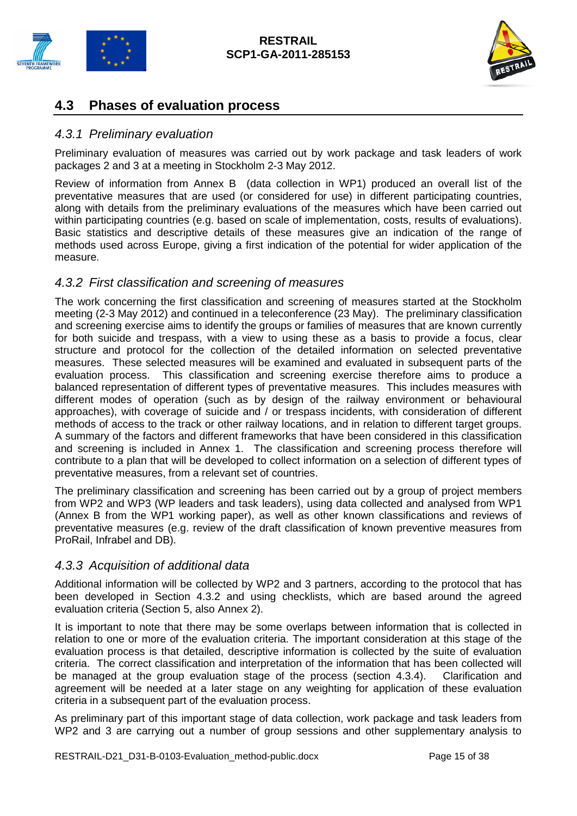



## <span id="page-14-0"></span>**4.3 Phases of evaluation process**

## <span id="page-14-1"></span>*4.3.1 Preliminary evaluation*

Preliminary evaluation of measures was carried out by work package and task leaders of work packages 2 and 3 at a meeting in Stockholm 2-3 May 2012.

Review of information from Annex B (data collection in WP1) produced an overall list of the preventative measures that are used (or considered for use) in different participating countries, along with details from the preliminary evaluations of the measures which have been carried out within participating countries (e.g. based on scale of implementation, costs, results of evaluations). Basic statistics and descriptive details of these measures give an indication of the range of methods used across Europe, giving a first indication of the potential for wider application of the measure.

## <span id="page-14-2"></span>*4.3.2 First classification and screening of measures*

The work concerning the first classification and screening of measures started at the Stockholm meeting (2-3 May 2012) and continued in a teleconference (23 May). The preliminary classification and screening exercise aims to identify the groups or families of measures that are known currently for both suicide and trespass, with a view to using these as a basis to provide a focus, clear structure and protocol for the collection of the detailed information on selected preventative measures. These selected measures will be examined and evaluated in subsequent parts of the evaluation process. This classification and screening exercise therefore aims to produce a balanced representation of different types of preventative measures. This includes measures with different modes of operation (such as by design of the railway environment or behavioural approaches), with coverage of suicide and / or trespass incidents, with consideration of different methods of access to the track or other railway locations, and in relation to different target groups. A summary of the factors and different frameworks that have been considered in this classification and screening is included in Annex 1. The classification and screening process therefore will contribute to a plan that will be developed to collect information on a selection of different types of preventative measures, from a relevant set of countries.

The preliminary classification and screening has been carried out by a group of project members from WP2 and WP3 (WP leaders and task leaders), using data collected and analysed from WP1 (Annex B from the WP1 working paper), as well as other known classifications and reviews of preventative measures (e.g. review of the draft classification of known preventive measures from ProRail, Infrabel and DB).

### <span id="page-14-3"></span>*4.3.3 Acquisition of additional data*

Additional information will be collected by WP2 and 3 partners, according to the protocol that has been developed in Section 4.3.2 and using checklists, which are based around the agreed evaluation criteria (Section 5, also Annex 2).

It is important to note that there may be some overlaps between information that is collected in relation to one or more of the evaluation criteria. The important consideration at this stage of the evaluation process is that detailed, descriptive information is collected by the suite of evaluation criteria. The correct classification and interpretation of the information that has been collected will be managed at the group evaluation stage of the process (section 4.3.4). Clarification and agreement will be needed at a later stage on any weighting for application of these evaluation criteria in a subsequent part of the evaluation process.

As preliminary part of this important stage of data collection, work package and task leaders from WP2 and 3 are carrying out a number of group sessions and other supplementary analysis to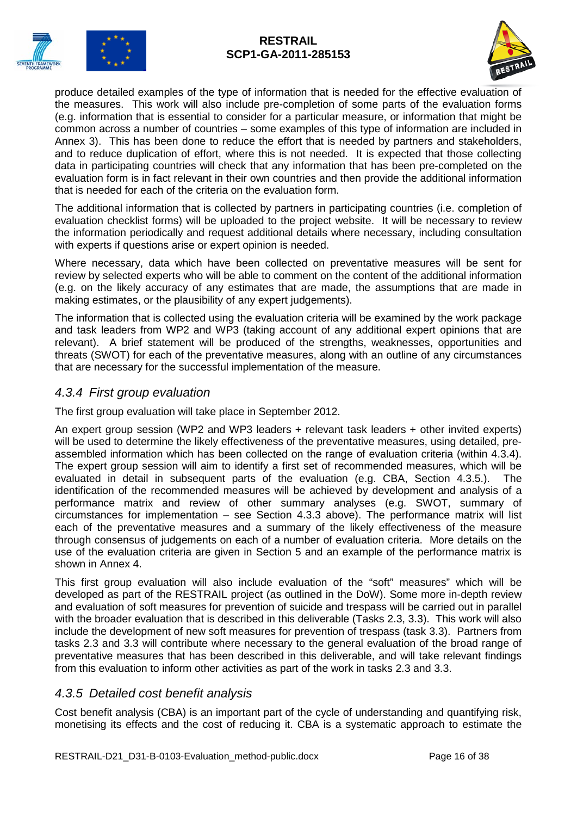



produce detailed examples of the type of information that is needed for the effective evaluation of the measures. This work will also include pre-completion of some parts of the evaluation forms (e.g. information that is essential to consider for a particular measure, or information that might be common across a number of countries – some examples of this type of information are included in Annex 3). This has been done to reduce the effort that is needed by partners and stakeholders, and to reduce duplication of effort, where this is not needed. It is expected that those collecting data in participating countries will check that any information that has been pre-completed on the evaluation form is in fact relevant in their own countries and then provide the additional information that is needed for each of the criteria on the evaluation form.

The additional information that is collected by partners in participating countries (i.e. completion of evaluation checklist forms) will be uploaded to the project website. It will be necessary to review the information periodically and request additional details where necessary, including consultation with experts if questions arise or expert opinion is needed.

Where necessary, data which have been collected on preventative measures will be sent for review by selected experts who will be able to comment on the content of the additional information (e.g. on the likely accuracy of any estimates that are made, the assumptions that are made in making estimates, or the plausibility of any expert judgements).

The information that is collected using the evaluation criteria will be examined by the work package and task leaders from WP2 and WP3 (taking account of any additional expert opinions that are relevant). A brief statement will be produced of the strengths, weaknesses, opportunities and threats (SWOT) for each of the preventative measures, along with an outline of any circumstances that are necessary for the successful implementation of the measure.

## <span id="page-15-0"></span>*4.3.4 First group evaluation*

The first group evaluation will take place in September 2012.

An expert group session (WP2 and WP3 leaders + relevant task leaders + other invited experts) will be used to determine the likely effectiveness of the preventative measures, using detailed, preassembled information which has been collected on the range of evaluation criteria (within 4.3.4). The expert group session will aim to identify a first set of recommended measures, which will be evaluated in detail in subsequent parts of the evaluation (e.g. CBA, Section 4.3.5.). The identification of the recommended measures will be achieved by development and analysis of a performance matrix and review of other summary analyses (e.g. SWOT, summary of circumstances for implementation – see Section 4.3.3 above). The performance matrix will list each of the preventative measures and a summary of the likely effectiveness of the measure through consensus of judgements on each of a number of evaluation criteria. More details on the use of the evaluation criteria are given in Section 5 and an example of the performance matrix is shown in Annex 4.

This first group evaluation will also include evaluation of the "soft" measures" which will be developed as part of the RESTRAIL project (as outlined in the DoW). Some more in-depth review and evaluation of soft measures for prevention of suicide and trespass will be carried out in parallel with the broader evaluation that is described in this deliverable (Tasks 2.3, 3.3). This work will also include the development of new soft measures for prevention of trespass (task 3.3). Partners from tasks 2.3 and 3.3 will contribute where necessary to the general evaluation of the broad range of preventative measures that has been described in this deliverable, and will take relevant findings from this evaluation to inform other activities as part of the work in tasks 2.3 and 3.3.

## <span id="page-15-1"></span>*4.3.5 Detailed cost benefit analysis*

Cost benefit analysis (CBA) is an important part of the cycle of understanding and quantifying risk, monetising its effects and the cost of reducing it. CBA is a systematic approach to estimate the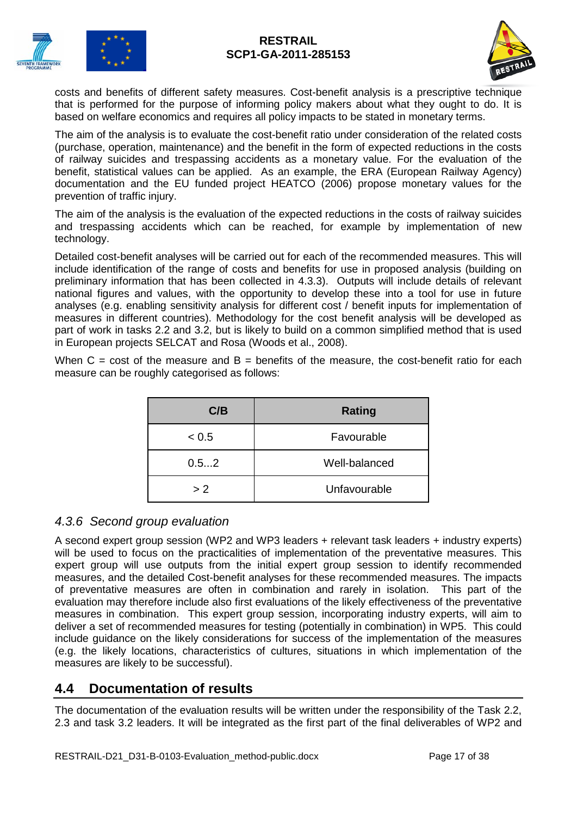



costs and benefits of different safety measures. Cost-benefit analysis is a prescriptive technique that is performed for the purpose of informing policy makers about what they ought to do. It is based on welfare economics and requires all policy impacts to be stated in monetary terms.

The aim of the analysis is to evaluate the cost-benefit ratio under consideration of the related costs (purchase, operation, maintenance) and the benefit in the form of expected reductions in the costs of railway suicides and trespassing accidents as a monetary value. For the evaluation of the benefit, statistical values can be applied. As an example, the ERA (European Railway Agency) documentation and the EU funded project HEATCO (2006) propose monetary values for the prevention of traffic injury.

The aim of the analysis is the evaluation of the expected reductions in the costs of railway suicides and trespassing accidents which can be reached, for example by implementation of new technology.

Detailed cost-benefit analyses will be carried out for each of the recommended measures. This will include identification of the range of costs and benefits for use in proposed analysis (building on preliminary information that has been collected in 4.3.3). Outputs will include details of relevant national figures and values, with the opportunity to develop these into a tool for use in future analyses (e.g. enabling sensitivity analysis for different cost / benefit inputs for implementation of measures in different countries). Methodology for the cost benefit analysis will be developed as part of work in tasks 2.2 and 3.2, but is likely to build on a common simplified method that is used in European projects SELCAT and Rosa (Woods et al., 2008).

When  $C = \text{cost}$  of the measure and  $B =$  benefits of the measure, the cost-benefit ratio for each measure can be roughly categorised as follows:

| C/B   | <b>Rating</b> |
|-------|---------------|
| < 0.5 | Favourable    |
| 0.52  | Well-balanced |
| > 2   | Unfavourable  |

## <span id="page-16-0"></span>*4.3.6 Second group evaluation*

A second expert group session (WP2 and WP3 leaders + relevant task leaders + industry experts) will be used to focus on the practicalities of implementation of the preventative measures. This expert group will use outputs from the initial expert group session to identify recommended measures, and the detailed Cost-benefit analyses for these recommended measures. The impacts of preventative measures are often in combination and rarely in isolation. This part of the evaluation may therefore include also first evaluations of the likely effectiveness of the preventative measures in combination. This expert group session, incorporating industry experts, will aim to deliver a set of recommended measures for testing (potentially in combination) in WP5. This could include guidance on the likely considerations for success of the implementation of the measures (e.g. the likely locations, characteristics of cultures, situations in which implementation of the measures are likely to be successful).

## <span id="page-16-1"></span>**4.4 Documentation of results**

The documentation of the evaluation results will be written under the responsibility of the Task 2.2, 2.3 and task 3.2 leaders. It will be integrated as the first part of the final deliverables of WP2 and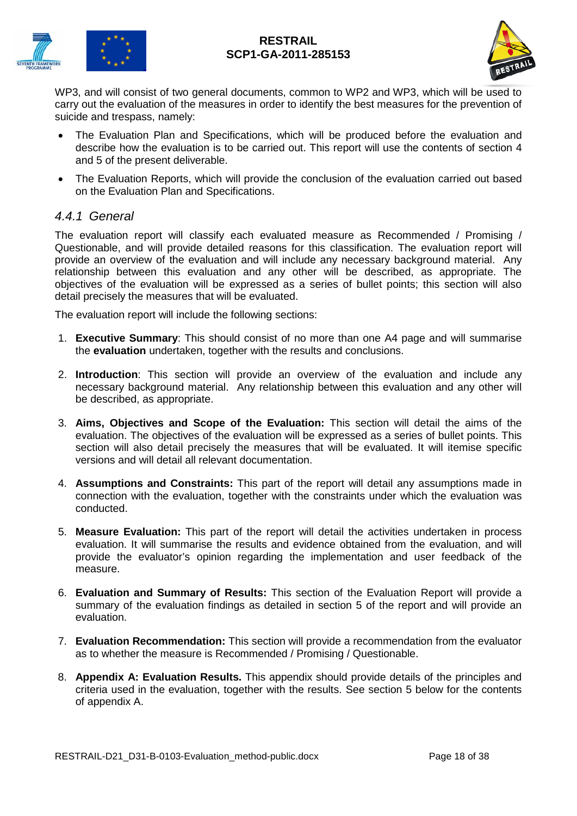



WP3, and will consist of two general documents, common to WP2 and WP3, which will be used to carry out the evaluation of the measures in order to identify the best measures for the prevention of suicide and trespass, namely:

- The Evaluation Plan and Specifications, which will be produced before the evaluation and describe how the evaluation is to be carried out. This report will use the contents of section 4 and 5 of the present deliverable.
- The Evaluation Reports, which will provide the conclusion of the evaluation carried out based on the Evaluation Plan and Specifications.

## <span id="page-17-0"></span>*4.4.1 General*

The evaluation report will classify each evaluated measure as Recommended / Promising / Questionable, and will provide detailed reasons for this classification. The evaluation report will provide an overview of the evaluation and will include any necessary background material. Any relationship between this evaluation and any other will be described, as appropriate. The objectives of the evaluation will be expressed as a series of bullet points; this section will also detail precisely the measures that will be evaluated.

The evaluation report will include the following sections:

- 1. **Executive Summary**: This should consist of no more than one A4 page and will summarise the **evaluation** undertaken, together with the results and conclusions.
- 2. **Introduction**: This section will provide an overview of the evaluation and include any necessary background material. Any relationship between this evaluation and any other will be described, as appropriate.
- 3. **Aims, Objectives and Scope of the Evaluation:** This section will detail the aims of the evaluation. The objectives of the evaluation will be expressed as a series of bullet points. This section will also detail precisely the measures that will be evaluated. It will itemise specific versions and will detail all relevant documentation.
- 4. **Assumptions and Constraints:** This part of the report will detail any assumptions made in connection with the evaluation, together with the constraints under which the evaluation was conducted.
- 5. **Measure Evaluation:** This part of the report will detail the activities undertaken in process evaluation. It will summarise the results and evidence obtained from the evaluation, and will provide the evaluator's opinion regarding the implementation and user feedback of the measure.
- 6. **Evaluation and Summary of Results:** This section of the Evaluation Report will provide a summary of the evaluation findings as detailed in section 5 of the report and will provide an evaluation.
- 7. **Evaluation Recommendation:** This section will provide a recommendation from the evaluator as to whether the measure is Recommended / Promising / Questionable.
- 8. **Appendix A: Evaluation Results.** This appendix should provide details of the principles and criteria used in the evaluation, together with the results. See section 5 below for the contents of appendix A.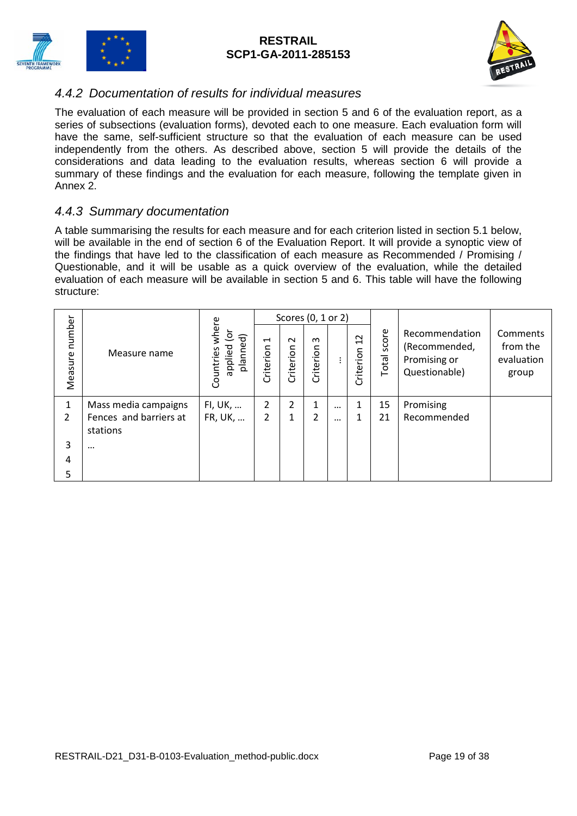



## <span id="page-18-0"></span>*4.4.2 Documentation of results for individual measures*

The evaluation of each measure will be provided in section 5 and 6 of the evaluation report, as a series of subsections (evaluation forms), devoted each to one measure. Each evaluation form will have the same, self-sufficient structure so that the evaluation of each measure can be used independently from the others. As described above, section 5 will provide the details of the considerations and data leading to the evaluation results, whereas section 6 will provide a summary of these findings and the evaluation for each measure, following the template given in Annex 2.

## <span id="page-18-1"></span>*4.4.3 Summary documentation*

A table summarising the results for each measure and for each criterion listed in section 5.1 below, will be available in the end of section 6 of the Evaluation Report. It will provide a synoptic view of the findings that have led to the classification of each measure as Recommended / Promising / Questionable, and it will be usable as a quick overview of the evaluation, while the detailed evaluation of each measure will be available in section 5 and 6. This table will have the following structure:

|                   |                        |                                               |                             | Scores (0, 1 or 2)  |                       |          |                                                 |                |                                                                  |                                             |
|-------------------|------------------------|-----------------------------------------------|-----------------------------|---------------------|-----------------------|----------|-------------------------------------------------|----------------|------------------------------------------------------------------|---------------------------------------------|
| number<br>Measure | Measure name           | wher<br>흐<br>planned)<br>applied<br>Countries | $\blacksquare$<br>Criterion | $\sim$<br>Criterion | $\infty$<br>Criterion | ÷        | $\sim$<br>$\overline{\phantom{0}}$<br>Criterion | score<br>Total | Recommendation<br>(Recommended,<br>Promising or<br>Questionable) | Comments<br>from the<br>evaluation<br>group |
| 1                 | Mass media campaigns   | FI, UK,                                       | 2                           | 2                   |                       | $\cdots$ | 1                                               | 15             | Promising                                                        |                                             |
| $\overline{2}$    | Fences and barriers at | FR, UK,                                       | 2                           | 1                   | າ                     | $\cdots$ | 1                                               | 21             | Recommended                                                      |                                             |
|                   | stations               |                                               |                             |                     |                       |          |                                                 |                |                                                                  |                                             |
| 3                 | $\cdots$               |                                               |                             |                     |                       |          |                                                 |                |                                                                  |                                             |
| 4                 |                        |                                               |                             |                     |                       |          |                                                 |                |                                                                  |                                             |
| 5                 |                        |                                               |                             |                     |                       |          |                                                 |                |                                                                  |                                             |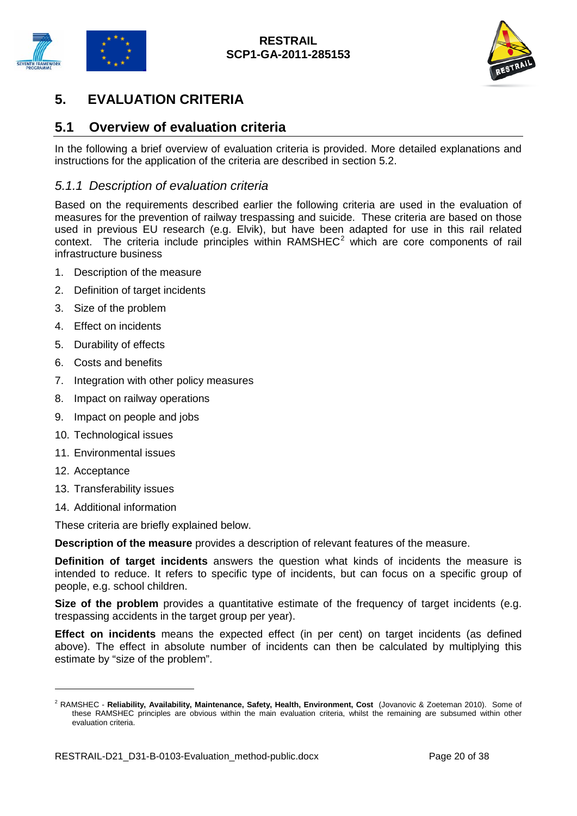



## <span id="page-19-0"></span>**5. EVALUATION CRITERIA**

## <span id="page-19-1"></span>**5.1 Overview of evaluation criteria**

In the following a brief overview of evaluation criteria is provided. More detailed explanations and instructions for the application of the criteria are described in section 5.2.

### <span id="page-19-2"></span>*5.1.1 Description of evaluation criteria*

Based on the requirements described earlier the following criteria are used in the evaluation of measures for the prevention of railway trespassing and suicide. These criteria are based on those used in previous EU research (e.g. Elvik), but have been adapted for use in this rail related context. The criteria include principles within  $RAMSHEC<sup>2</sup>$  $RAMSHEC<sup>2</sup>$  $RAMSHEC<sup>2</sup>$  which are core components of rail infrastructure business

- 1. Description of the measure
- 2. Definition of target incidents
- 3. Size of the problem
- 4. Effect on incidents
- 5. Durability of effects
- 6. Costs and benefits
- 7. Integration with other policy measures
- 8. Impact on railway operations
- 9. Impact on people and jobs
- 10. Technological issues
- 11. Environmental issues
- 12. Acceptance

<u>.</u>

- 13. Transferability issues
- 14. Additional information

These criteria are briefly explained below.

**Description of the measure** provides a description of relevant features of the measure.

**Definition of target incidents** answers the question what kinds of incidents the measure is intended to reduce. It refers to specific type of incidents, but can focus on a specific group of people, e.g. school children.

**Size of the problem** provides a quantitative estimate of the frequency of target incidents (e.g. trespassing accidents in the target group per year).

**Effect on incidents** means the expected effect (in per cent) on target incidents (as defined above). The effect in absolute number of incidents can then be calculated by multiplying this estimate by "size of the problem".

<span id="page-19-3"></span><sup>2</sup> RAMSHEC - **Reliability, Availability, Maintenance, Safety, Health, Environment, Cost** (Jovanovic & Zoeteman 2010). Some of these RAMSHEC principles are obvious within the main evaluation criteria, whilst the remaining are subsumed within other evaluation criteria.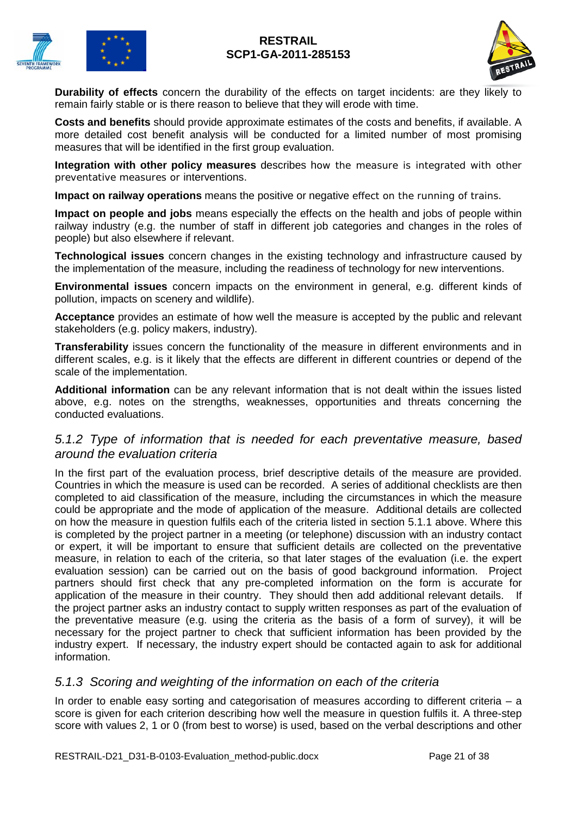



**Durability of effects** concern the durability of the effects on target incidents: are they likely to remain fairly stable or is there reason to believe that they will erode with time.

**Costs and benefits** should provide approximate estimates of the costs and benefits, if available. A more detailed cost benefit analysis will be conducted for a limited number of most promising measures that will be identified in the first group evaluation.

**Integration with other policy measures** describes how the measure is integrated with other preventative measures or interventions.

**Impact on railway operations** means the positive or negative effect on the running of trains.

**Impact on people and jobs** means especially the effects on the health and jobs of people within railway industry (e.g. the number of staff in different job categories and changes in the roles of people) but also elsewhere if relevant.

**Technological issues** concern changes in the existing technology and infrastructure caused by the implementation of the measure, including the readiness of technology for new interventions.

**Environmental issues** concern impacts on the environment in general, e.g. different kinds of pollution, impacts on scenery and wildlife).

**Acceptance** provides an estimate of how well the measure is accepted by the public and relevant stakeholders (e.g. policy makers, industry).

**Transferability** issues concern the functionality of the measure in different environments and in different scales, e.g. is it likely that the effects are different in different countries or depend of the scale of the implementation.

**Additional information** can be any relevant information that is not dealt within the issues listed above, e.g. notes on the strengths, weaknesses, opportunities and threats concerning the conducted evaluations.

### <span id="page-20-0"></span>*5.1.2 Type of information that is needed for each preventative measure, based around the evaluation criteria*

In the first part of the evaluation process, brief descriptive details of the measure are provided. Countries in which the measure is used can be recorded. A series of additional checklists are then completed to aid classification of the measure, including the circumstances in which the measure could be appropriate and the mode of application of the measure. Additional details are collected on how the measure in question fulfils each of the criteria listed in section 5.1.1 above. Where this is completed by the project partner in a meeting (or telephone) discussion with an industry contact or expert, it will be important to ensure that sufficient details are collected on the preventative measure, in relation to each of the criteria, so that later stages of the evaluation (i.e. the expert evaluation session) can be carried out on the basis of good background information. Project partners should first check that any pre-completed information on the form is accurate for application of the measure in their country. They should then add additional relevant details. If the project partner asks an industry contact to supply written responses as part of the evaluation of the preventative measure (e.g. using the criteria as the basis of a form of survey), it will be necessary for the project partner to check that sufficient information has been provided by the industry expert. If necessary, the industry expert should be contacted again to ask for additional information.

### <span id="page-20-1"></span>*5.1.3 Scoring and weighting of the information on each of the criteria*

In order to enable easy sorting and categorisation of measures according to different criteria  $-$  a score is given for each criterion describing how well the measure in question fulfils it. A three-step score with values 2, 1 or 0 (from best to worse) is used, based on the verbal descriptions and other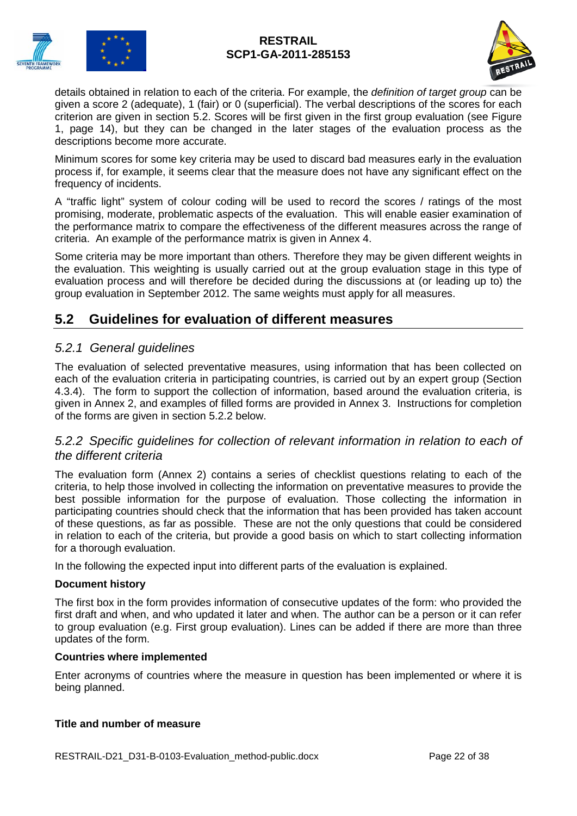



details obtained in relation to each of the criteria. For example, the *definition of target group* can be given a score 2 (adequate), 1 (fair) or 0 (superficial). The verbal descriptions of the scores for each criterion are given in section 5.2. Scores will be first given in the first group evaluation (see Figure 1, page 14), but they can be changed in the later stages of the evaluation process as the descriptions become more accurate.

Minimum scores for some key criteria may be used to discard bad measures early in the evaluation process if, for example, it seems clear that the measure does not have any significant effect on the frequency of incidents.

A "traffic light" system of colour coding will be used to record the scores / ratings of the most promising, moderate, problematic aspects of the evaluation. This will enable easier examination of the performance matrix to compare the effectiveness of the different measures across the range of criteria. An example of the performance matrix is given in Annex 4.

Some criteria may be more important than others. Therefore they may be given different weights in the evaluation. This weighting is usually carried out at the group evaluation stage in this type of evaluation process and will therefore be decided during the discussions at (or leading up to) the group evaluation in September 2012. The same weights must apply for all measures.

## <span id="page-21-0"></span>**5.2 Guidelines for evaluation of different measures**

## <span id="page-21-1"></span>*5.2.1 General guidelines*

The evaluation of selected preventative measures, using information that has been collected on each of the evaluation criteria in participating countries, is carried out by an expert group (Section 4.3.4). The form to support the collection of information, based around the evaluation criteria, is given in Annex 2, and examples of filled forms are provided in Annex 3. Instructions for completion of the forms are given in section 5.2.2 below.

## <span id="page-21-2"></span>*5.2.2 Specific guidelines for collection of relevant information in relation to each of the different criteria*

The evaluation form (Annex 2) contains a series of checklist questions relating to each of the criteria, to help those involved in collecting the information on preventative measures to provide the best possible information for the purpose of evaluation. Those collecting the information in participating countries should check that the information that has been provided has taken account of these questions, as far as possible. These are not the only questions that could be considered in relation to each of the criteria, but provide a good basis on which to start collecting information for a thorough evaluation.

In the following the expected input into different parts of the evaluation is explained.

#### **Document history**

The first box in the form provides information of consecutive updates of the form: who provided the first draft and when, and who updated it later and when. The author can be a person or it can refer to group evaluation (e.g. First group evaluation). Lines can be added if there are more than three updates of the form.

#### **Countries where implemented**

Enter acronyms of countries where the measure in question has been implemented or where it is being planned.

#### **Title and number of measure**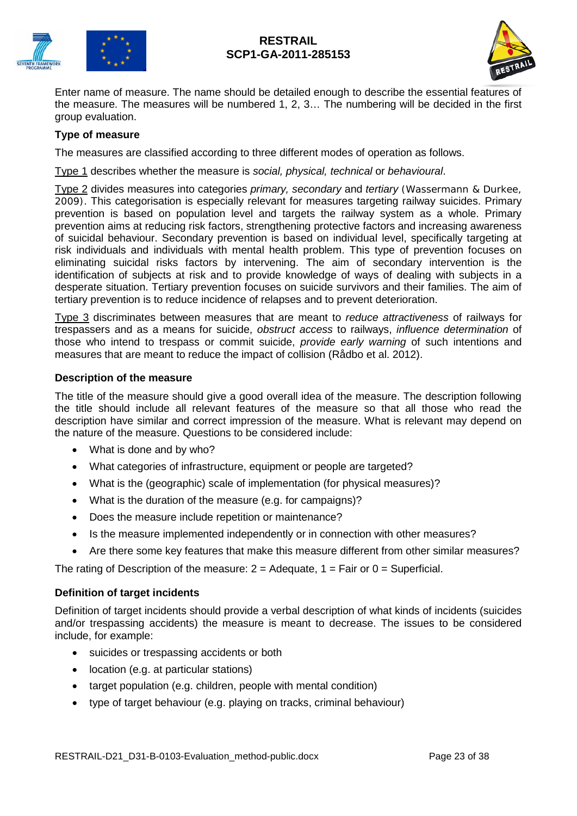



Enter name of measure. The name should be detailed enough to describe the essential features of the measure. The measures will be numbered 1, 2, 3… The numbering will be decided in the first group evaluation.

### **Type of measure**

The measures are classified according to three different modes of operation as follows.

Type 1 describes whether the measure is *social, physical, technical* or *behavioural*.

Type 2 divides measures into categories *primary, secondary* and *tertiary* (Wassermann & Durkee, 2009). This categorisation is especially relevant for measures targeting railway suicides. Primary prevention is based on population level and targets the railway system as a whole. Primary prevention aims at reducing risk factors, strengthening protective factors and increasing awareness of suicidal behaviour. Secondary prevention is based on individual level, specifically targeting at risk individuals and individuals with mental health problem. This type of prevention focuses on eliminating suicidal risks factors by intervening. The aim of secondary intervention is the identification of subjects at risk and to provide knowledge of ways of dealing with subjects in a desperate situation. Tertiary prevention focuses on suicide survivors and their families. The aim of tertiary prevention is to reduce incidence of relapses and to prevent deterioration.

Type 3 discriminates between measures that are meant to *reduce attractiveness* of railways for trespassers and as a means for suicide, *obstruct access* to railways, *influence determination* of those who intend to trespass or commit suicide, *provide early warning* of such intentions and measures that are meant to reduce the impact of collision (Rådbo et al. 2012).

#### **Description of the measure**

The title of the measure should give a good overall idea of the measure. The description following the title should include all relevant features of the measure so that all those who read the description have similar and correct impression of the measure. What is relevant may depend on the nature of the measure. Questions to be considered include:

- What is done and by who?
- What categories of infrastructure, equipment or people are targeted?
- What is the (geographic) scale of implementation (for physical measures)?
- What is the duration of the measure (e.g. for campaigns)?
- Does the measure include repetition or maintenance?
- Is the measure implemented independently or in connection with other measures?
- Are there some key features that make this measure different from other similar measures?

The rating of Description of the measure:  $2 =$  Adequate,  $1 =$  Fair or  $0 =$  Superficial.

#### **Definition of target incidents**

Definition of target incidents should provide a verbal description of what kinds of incidents (suicides and/or trespassing accidents) the measure is meant to decrease. The issues to be considered include, for example:

- suicides or trespassing accidents or both
- location (e.g. at particular stations)
- target population (e.g. children, people with mental condition)
- type of target behaviour (e.g. playing on tracks, criminal behaviour)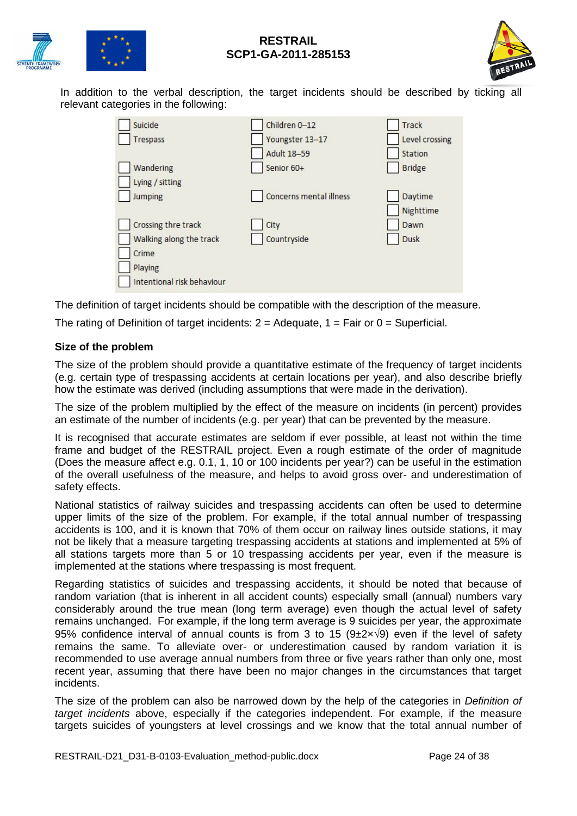



In addition to the verbal description, the target incidents should be described by ticking all relevant categories in the following:

| Suicide                    | Children 0-12                  | Track          |
|----------------------------|--------------------------------|----------------|
| Trespass                   | Youngster 13-17                | Level crossing |
|                            | <b>Adult 18-59</b>             | <b>Station</b> |
| Wandering                  | Senior 60+                     | <b>Bridge</b>  |
| Lying / sitting            |                                |                |
| <b>Jumping</b>             | <b>Concerns mental illness</b> | Daytime        |
|                            |                                | Nighttime      |
| Crossing thre track        | City                           | Dawn           |
| Walking along the track    | Countryside                    | <b>Dusk</b>    |
| Crime                      |                                |                |
| Playing                    |                                |                |
| Intentional risk behaviour |                                |                |

The definition of target incidents should be compatible with the description of the measure.

The rating of Definition of target incidents:  $2 =$  Adequate,  $1 =$  Fair or  $0 =$  Superficial.

#### **Size of the problem**

The size of the problem should provide a quantitative estimate of the frequency of target incidents (e.g. certain type of trespassing accidents at certain locations per year), and also describe briefly how the estimate was derived (including assumptions that were made in the derivation).

The size of the problem multiplied by the effect of the measure on incidents (in percent) provides an estimate of the number of incidents (e.g. per year) that can be prevented by the measure.

It is recognised that accurate estimates are seldom if ever possible, at least not within the time frame and budget of the RESTRAIL project. Even a rough estimate of the order of magnitude (Does the measure affect e.g. 0.1, 1, 10 or 100 incidents per year?) can be useful in the estimation of the overall usefulness of the measure, and helps to avoid gross over- and underestimation of safety effects.

National statistics of railway suicides and trespassing accidents can often be used to determine upper limits of the size of the problem. For example, if the total annual number of trespassing accidents is 100, and it is known that 70% of them occur on railway lines outside stations, it may not be likely that a measure targeting trespassing accidents at stations and implemented at 5% of all stations targets more than 5 or 10 trespassing accidents per year, even if the measure is implemented at the stations where trespassing is most frequent.

Regarding statistics of suicides and trespassing accidents, it should be noted that because of random variation (that is inherent in all accident counts) especially small (annual) numbers vary considerably around the true mean (long term average) even though the actual level of safety remains unchanged. For example, if the long term average is 9 suicides per year, the approximate 95% confidence interval of annual counts is from 3 to 15 (9±2×√9) even if the level of safety remains the same. To alleviate over- or underestimation caused by random variation it is recommended to use average annual numbers from three or five years rather than only one, most recent year, assuming that there have been no major changes in the circumstances that target incidents.

The size of the problem can also be narrowed down by the help of the categories in *Definition of target incidents* above, especially if the categories independent. For example, if the measure targets suicides of youngsters at level crossings and we know that the total annual number of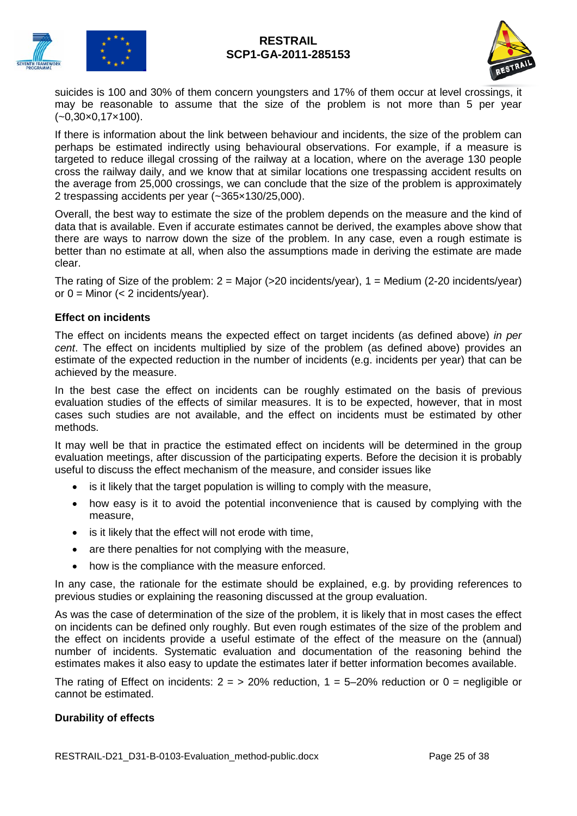



suicides is 100 and 30% of them concern youngsters and 17% of them occur at level crossings, it may be reasonable to assume that the size of the problem is not more than 5 per year (~0,30×0,17×100).

If there is information about the link between behaviour and incidents, the size of the problem can perhaps be estimated indirectly using behavioural observations. For example, if a measure is targeted to reduce illegal crossing of the railway at a location, where on the average 130 people cross the railway daily, and we know that at similar locations one trespassing accident results on the average from 25,000 crossings, we can conclude that the size of the problem is approximately 2 trespassing accidents per year (~365×130/25,000).

Overall, the best way to estimate the size of the problem depends on the measure and the kind of data that is available. Even if accurate estimates cannot be derived, the examples above show that there are ways to narrow down the size of the problem. In any case, even a rough estimate is better than no estimate at all, when also the assumptions made in deriving the estimate are made clear.

The rating of Size of the problem:  $2 =$  Major (>20 incidents/year),  $1 =$  Medium (2-20 incidents/year) or  $0 =$  Minor  $\left( < 2 \right)$  incidents/year).

#### **Effect on incidents**

The effect on incidents means the expected effect on target incidents (as defined above) *in per cent*. The effect on incidents multiplied by size of the problem (as defined above) provides an estimate of the expected reduction in the number of incidents (e.g. incidents per year) that can be achieved by the measure.

In the best case the effect on incidents can be roughly estimated on the basis of previous evaluation studies of the effects of similar measures. It is to be expected, however, that in most cases such studies are not available, and the effect on incidents must be estimated by other methods.

It may well be that in practice the estimated effect on incidents will be determined in the group evaluation meetings, after discussion of the participating experts. Before the decision it is probably useful to discuss the effect mechanism of the measure, and consider issues like

- is it likely that the target population is willing to comply with the measure,
- how easy is it to avoid the potential inconvenience that is caused by complying with the measure,
- is it likely that the effect will not erode with time,
- are there penalties for not complying with the measure,
- how is the compliance with the measure enforced.

In any case, the rationale for the estimate should be explained, e.g. by providing references to previous studies or explaining the reasoning discussed at the group evaluation.

As was the case of determination of the size of the problem, it is likely that in most cases the effect on incidents can be defined only roughly. But even rough estimates of the size of the problem and the effect on incidents provide a useful estimate of the effect of the measure on the (annual) number of incidents. Systematic evaluation and documentation of the reasoning behind the estimates makes it also easy to update the estimates later if better information becomes available.

The rating of Effect on incidents:  $2 = 20\%$  reduction,  $1 = 5-20\%$  reduction or  $0 =$  negligible or cannot be estimated.

#### **Durability of effects**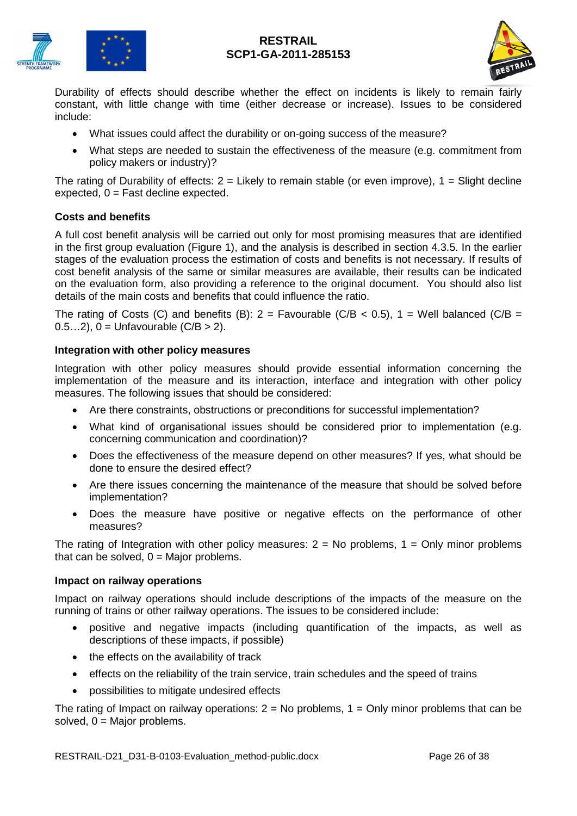



Durability of effects should describe whether the effect on incidents is likely to remain fairly constant, with little change with time (either decrease or increase). Issues to be considered include:

- What issues could affect the durability or on-going success of the measure?
- What steps are needed to sustain the effectiveness of the measure (e.g. commitment from policy makers or industry)?

The rating of Durability of effects:  $2 =$  Likely to remain stable (or even improve),  $1 =$  Slight decline  $expected, 0 = Fast decline expected.$ 

#### **Costs and benefits**

A full cost benefit analysis will be carried out only for most promising measures that are identified in the first group evaluation (Figure 1), and the analysis is described in section 4.3.5. In the earlier stages of the evaluation process the estimation of costs and benefits is not necessary. If results of cost benefit analysis of the same or similar measures are available, their results can be indicated on the evaluation form, also providing a reference to the original document. You should also list details of the main costs and benefits that could influence the ratio.

The rating of Costs (C) and benefits (B):  $2 =$  Favourable (C/B < 0.5),  $1 =$  Well balanced (C/B = 0.5…2),  $0 =$  Unfavourable  $(C/B > 2)$ .

#### **Integration with other policy measures**

Integration with other policy measures should provide essential information concerning the implementation of the measure and its interaction, interface and integration with other policy measures. The following issues that should be considered:

- Are there constraints, obstructions or preconditions for successful implementation?
- What kind of organisational issues should be considered prior to implementation (e.g. concerning communication and coordination)?
- Does the effectiveness of the measure depend on other measures? If yes, what should be done to ensure the desired effect?
- Are there issues concerning the maintenance of the measure that should be solved before implementation?
- Does the measure have positive or negative effects on the performance of other measures?

The rating of Integration with other policy measures:  $2 = No$  problems,  $1 = Only$  minor problems that can be solved,  $0 =$  Major problems.

#### **Impact on railway operations**

Impact on railway operations should include descriptions of the impacts of the measure on the running of trains or other railway operations. The issues to be considered include:

- positive and negative impacts (including quantification of the impacts, as well as descriptions of these impacts, if possible)
- the effects on the availability of track
- effects on the reliability of the train service, train schedules and the speed of trains
- possibilities to mitigate undesired effects

The rating of Impact on railway operations:  $2 = No$  problems,  $1 = On/v$  minor problems that can be solved,  $0 =$  Major problems.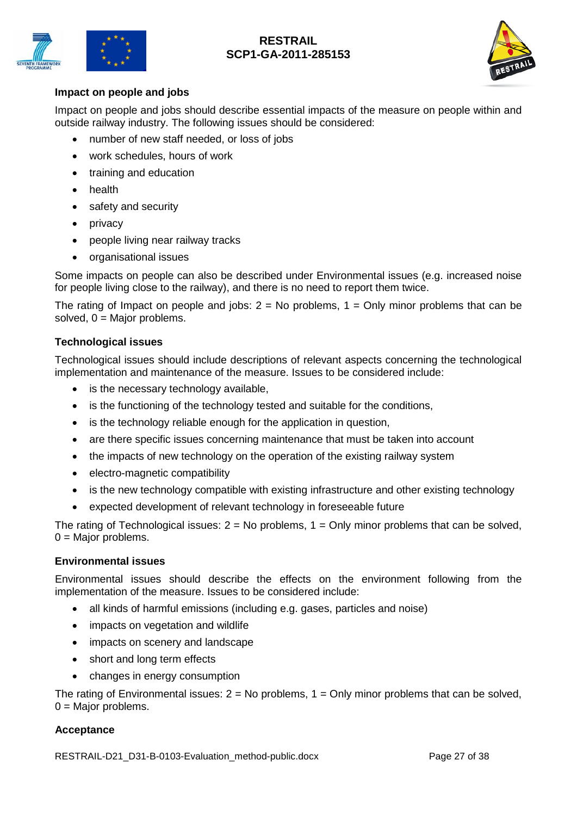



#### **Impact on people and jobs**

Impact on people and jobs should describe essential impacts of the measure on people within and outside railway industry. The following issues should be considered:

- number of new staff needed, or loss of jobs
- work schedules, hours of work
- training and education
- health
- safety and security
- privacy
- people living near railway tracks
- organisational issues

Some impacts on people can also be described under Environmental issues (e.g. increased noise for people living close to the railway), and there is no need to report them twice.

The rating of Impact on people and jobs:  $2 = No$  problems,  $1 = Only$  minor problems that can be solved,  $0 =$  Major problems.

### **Technological issues**

Technological issues should include descriptions of relevant aspects concerning the technological implementation and maintenance of the measure. Issues to be considered include:

- is the necessary technology available,
- is the functioning of the technology tested and suitable for the conditions,
- is the technology reliable enough for the application in question,
- are there specific issues concerning maintenance that must be taken into account
- the impacts of new technology on the operation of the existing railway system
- electro-magnetic compatibility
- is the new technology compatible with existing infrastructure and other existing technology
- expected development of relevant technology in foreseeable future

The rating of Technological issues:  $2 = No$  problems,  $1 = Only$  minor problems that can be solved,  $0 =$  Major problems.

#### **Environmental issues**

Environmental issues should describe the effects on the environment following from the implementation of the measure. Issues to be considered include:

- all kinds of harmful emissions (including e.g. gases, particles and noise)
- impacts on vegetation and wildlife
- impacts on scenery and landscape
- short and long term effects
- changes in energy consumption

The rating of Environmental issues:  $2 = No$  problems,  $1 = Only$  minor problems that can be solved,  $0 =$  Major problems.

#### **Acceptance**

RESTRAIL-D21\_D31-B-0103-Evaluation\_method-public.docx Page 27 of 38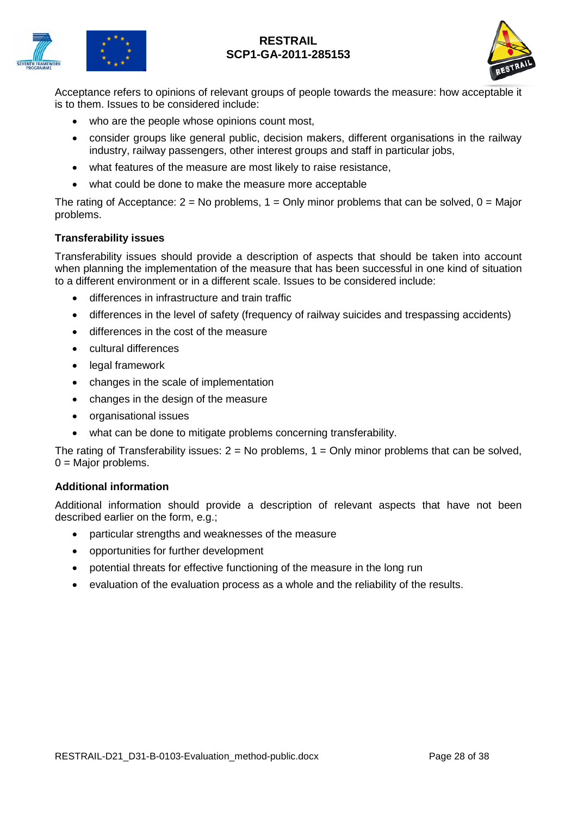



Acceptance refers to opinions of relevant groups of people towards the measure: how acceptable it is to them. Issues to be considered include:

- who are the people whose opinions count most,
- consider groups like general public, decision makers, different organisations in the railway industry, railway passengers, other interest groups and staff in particular jobs,
- what features of the measure are most likely to raise resistance,
- what could be done to make the measure more acceptable

The rating of Acceptance:  $2 = No$  problems,  $1 = Only$  minor problems that can be solved,  $0 = Major$ problems.

#### **Transferability issues**

Transferability issues should provide a description of aspects that should be taken into account when planning the implementation of the measure that has been successful in one kind of situation to a different environment or in a different scale. Issues to be considered include:

- differences in infrastructure and train traffic
- differences in the level of safety (frequency of railway suicides and trespassing accidents)
- differences in the cost of the measure
- cultural differences
- legal framework
- changes in the scale of implementation
- changes in the design of the measure
- organisational issues
- what can be done to mitigate problems concerning transferability.

The rating of Transferability issues:  $2 = No$  problems,  $1 = Only$  minor problems that can be solved,  $0 =$  Major problems.

#### **Additional information**

Additional information should provide a description of relevant aspects that have not been described earlier on the form, e.g.;

- particular strengths and weaknesses of the measure
- opportunities for further development
- potential threats for effective functioning of the measure in the long run
- evaluation of the evaluation process as a whole and the reliability of the results.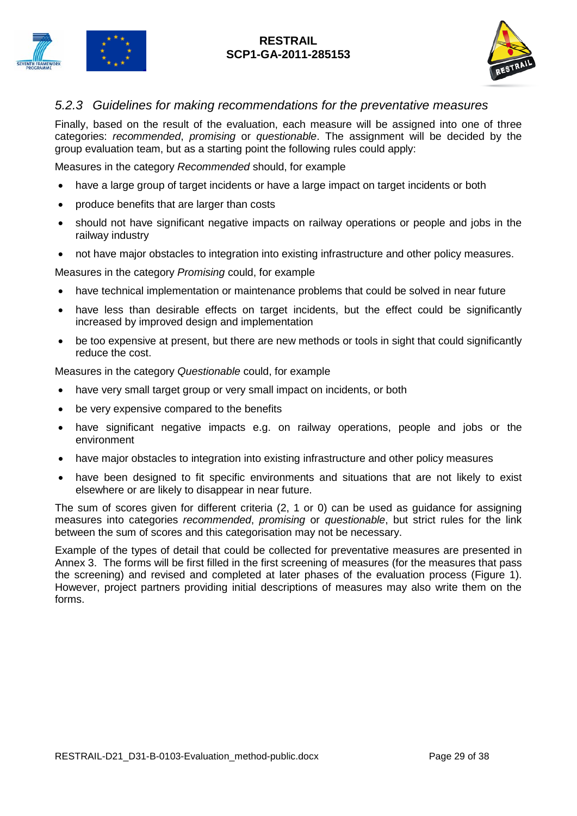



## <span id="page-28-0"></span>*5.2.3 Guidelines for making recommendations for the preventative measures*

Finally, based on the result of the evaluation, each measure will be assigned into one of three categories: *recommended*, *promising* or *questionable*. The assignment will be decided by the group evaluation team, but as a starting point the following rules could apply:

Measures in the category *Recommended* should, for example

- have a large group of target incidents or have a large impact on target incidents or both
- produce benefits that are larger than costs
- should not have significant negative impacts on railway operations or people and jobs in the railway industry
- not have major obstacles to integration into existing infrastructure and other policy measures.

Measures in the category *Promising* could, for example

- have technical implementation or maintenance problems that could be solved in near future
- have less than desirable effects on target incidents, but the effect could be significantly increased by improved design and implementation
- be too expensive at present, but there are new methods or tools in sight that could significantly reduce the cost.

Measures in the category *Questionable* could, for example

- have very small target group or very small impact on incidents, or both
- be very expensive compared to the benefits
- have significant negative impacts e.g. on railway operations, people and jobs or the environment
- have major obstacles to integration into existing infrastructure and other policy measures
- have been designed to fit specific environments and situations that are not likely to exist elsewhere or are likely to disappear in near future.

The sum of scores given for different criteria (2, 1 or 0) can be used as guidance for assigning measures into categories *recommended*, *promising* or *questionable*, but strict rules for the link between the sum of scores and this categorisation may not be necessary.

Example of the types of detail that could be collected for preventative measures are presented in Annex 3. The forms will be first filled in the first screening of measures (for the measures that pass the screening) and revised and completed at later phases of the evaluation process (Figure 1). However, project partners providing initial descriptions of measures may also write them on the forms.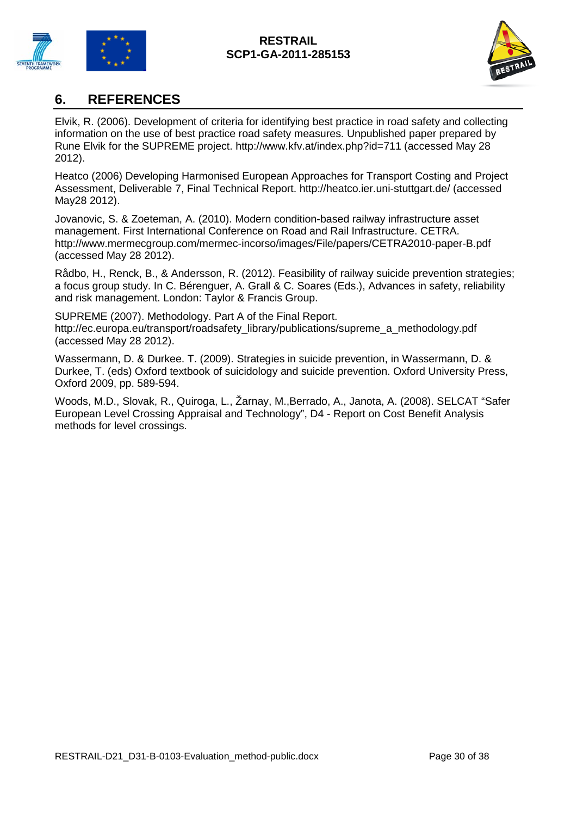



## <span id="page-29-0"></span>**6. REFERENCES**

Elvik, R. (2006). Development of criteria for identifying best practice in road safety and collecting information on the use of best practice road safety measures. Unpublished paper prepared by Rune Elvik for the SUPREME project. <http://www.kfv.at/index.php?id=711> (accessed May 28 2012).

Heatco (2006) Developing Harmonised European Approaches for Transport Costing and Project Assessment, Deliverable 7, Final Technical Report.<http://heatco.ier.uni-stuttgart.de/> (accessed May28 2012).

Jovanovic, S. & Zoeteman, A. (2010). Modern condition-based railway infrastructure asset management. First International Conference on Road and Rail Infrastructure. CETRA. <http://www.mermecgroup.com/mermec-incorso/images/File/papers/CETRA2010-paper-B.pdf> (accessed May 28 2012).

Rådbo, H., Renck, B., & Andersson, R. (2012). Feasibility of railway suicide prevention strategies; a focus group study. In C. Bérenguer, A. Grall & C. Soares (Eds.), Advances in safety, reliability and risk management. London: Taylor & Francis Group.

SUPREME (2007). Methodology. Part A of the Final Report. [http://ec.europa.eu/transport/roadsafety\\_library/publications/supreme\\_a\\_methodology.pdf](http://ec.europa.eu/transport/roadsafety_library/publications/supreme_a_methodology.pdf) (accessed May 28 2012).

Wassermann, D. & Durkee. T. (2009). Strategies in suicide prevention, in Wassermann, D. & Durkee, T. (eds) Oxford textbook of suicidology and suicide prevention. Oxford University Press, Oxford 2009, pp. 589-594.

Woods, M.D., Slovak, R., Quiroga, L., Žarnay, M.,Berrado, A., Janota, A. (2008). SELCAT "Safer European Level Crossing Appraisal and Technology", D4 - Report on Cost Benefit Analysis methods for level crossings.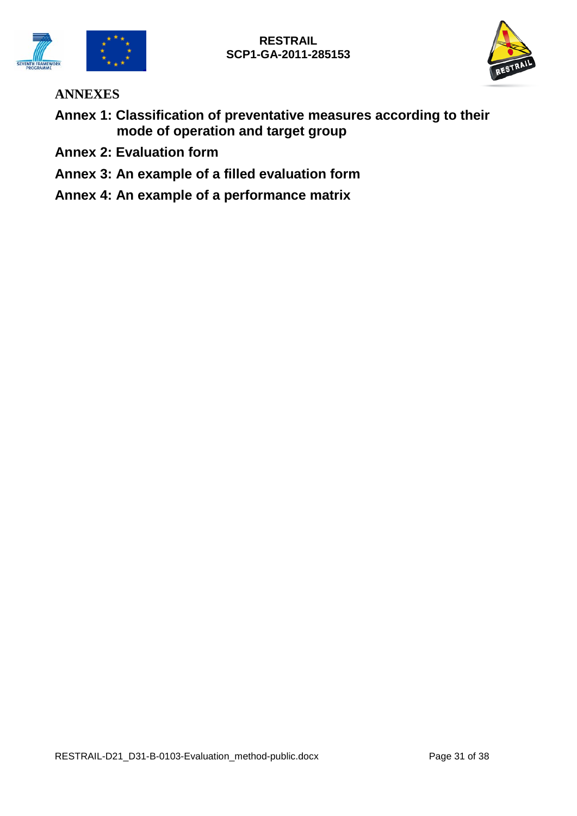



**ANNEXES**

- **Annex 1: Classification of preventative measures according to their mode of operation and target group**
- **Annex 2: Evaluation form**
- **Annex 3: An example of a filled evaluation form**
- **Annex 4: An example of a performance matrix**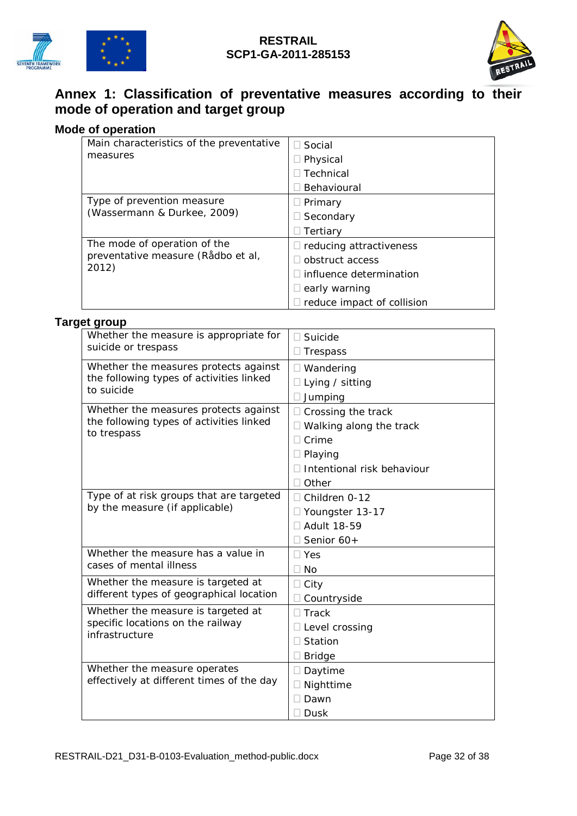



## **Annex 1: Classification of preventative measures according to their mode of operation and target group**

## **Mode of operation**

| Main <i>characteristics</i> of the preventative | Social                           |  |  |
|-------------------------------------------------|----------------------------------|--|--|
| measures                                        | $\exists$ Physical               |  |  |
|                                                 | Technical                        |  |  |
|                                                 | Behavioural                      |  |  |
| Type of prevention measure                      | $\Box$ Primary                   |  |  |
| (Wassermann & Durkee, 2009)                     | Secondary                        |  |  |
|                                                 | Tertiarv                         |  |  |
| The mode of operation of the                    | $\Box$ reducing attractiveness   |  |  |
| preventative measure (Rådbo et al,<br>2012)     | obstruct access                  |  |  |
|                                                 | $\sqcap$ influence determination |  |  |
|                                                 | early warning                    |  |  |
|                                                 | reduce impact of collision       |  |  |

## **Target group**

| Whether the measure is appropriate for                                                           | Suicide                                                                                                  |
|--------------------------------------------------------------------------------------------------|----------------------------------------------------------------------------------------------------------|
| suicide or trespass                                                                              | Trespass                                                                                                 |
| Whether the measures protects against                                                            | □ Wandering                                                                                              |
| the following types of activities linked                                                         | Lying / sitting                                                                                          |
| to suicide                                                                                       | Jumping                                                                                                  |
| Whether the measures protects against<br>the following types of activities linked<br>to trespass | Crossing the track<br>Walking along the track<br>Crime<br>Playing<br>Intentional risk behaviour<br>Other |
| Type of at risk groups that are targeted<br>by the measure (if applicable)                       | Children 0-12<br>□ Youngster 13-17<br><b>Adult 18-59</b><br>Senior 60+                                   |
| Whether the measure has a value in                                                               | Yes                                                                                                      |
| cases of mental illness                                                                          | <b>No</b>                                                                                                |
| Whether the measure is targeted at                                                               | City                                                                                                     |
| different types of geographical location                                                         | Countryside                                                                                              |
| Whether the measure is targeted at<br>specific locations on the railway<br>infrastructure        | <b>Track</b><br>Level crossing<br>Station<br><b>Bridge</b>                                               |
| Whether the measure operates<br>effectively at different times of the day                        | Daytime<br>Nighttime<br>Dawn<br>Dusk                                                                     |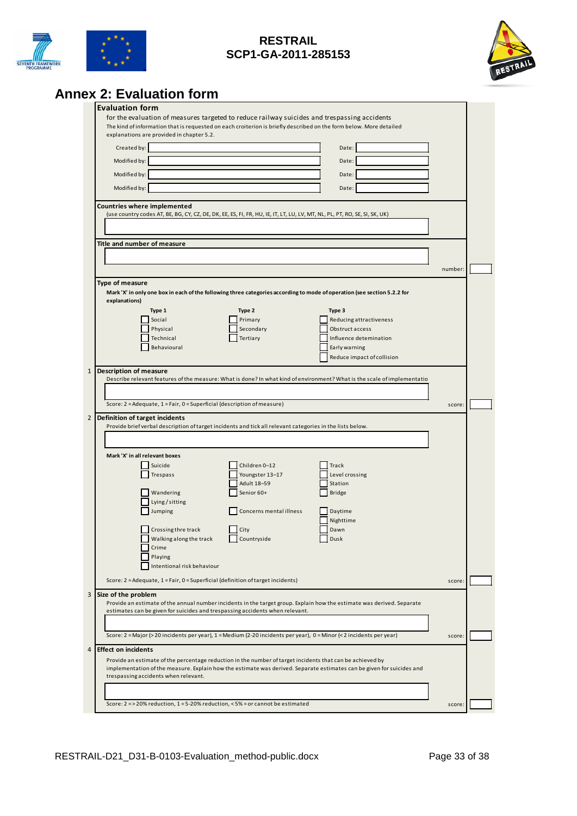



# **Annex 2: Evaluation form**

| The kind of information that is requested on each croiterion is briefly described on the form below. More detailed<br>explanations are provided in chapter 5.2.<br>Created by:<br>Date:<br>Modified by:<br>Date:<br>Modified by:<br>Date:<br>Modified by:<br>Date:<br><b>Countries where implemented</b><br>(use country codes AT, BE, BG, CY, CZ, DE, DK, EE, ES, FI, FR, HU, IE, IT, LT, LU, LV, MT, NL, PL, PT, RO, SE, SI, SK, UK)<br>Title and number of measure<br>number:<br>Type of measure<br>Mark 'X' in only one box in each of the following three categories according to mode of operation (see section 5.2.2 for<br>explanations)<br>Type 1<br>Type 2<br>Type 3<br>Social<br>Primary<br>Reducing attractiveness<br>Physical<br>Secondary<br>Obstruct access<br>Technical<br>Tertiary<br>Influence detemination<br>Behavioural<br>Early warning<br>Reduce impact of collision<br>1  Description of measure<br>Describe relevant features of the measure: What is done? In what kind of environment? What is the scale of implementatio<br>Score: 2 = Adequate, 1 = Fair, 0 = Superficial (description of measure)<br>score:<br>Definition of target incidents<br>Provide brief verbal description of target incidents and tick all relevant categories in the lists below.<br>Mark 'X' in all relevant boxes<br>Children 0-12<br>Suicide<br>Track<br>Youngster 13-17<br>Level crossing<br>Trespass<br>Adult 18-59<br>Station<br><b>Bridge</b><br>Wandering<br>Senior 60+<br>Lying / sitting<br>Jumping<br>Concerns mental illness<br>Daytime<br>Nighttime<br>Crossing thre track<br>City<br>Dawn<br>Walking along the track<br>Countryside<br>Dusk<br>Crime<br>Playing<br>Intentional risk behaviour<br>Score: 2 = Adequate, 1 = Fair, 0 = Superficial (definition of target incidents)<br>score:<br>Size of the problem<br>Provide an estimate of the annual number incidents in the target group. Explain how the estimate was derived. Separate<br>estimates can be given for suicides and trespassing accidents when relevant.<br>Score: 2 = Major (> 20 incidents per year), 1 = Medium (2-20 incidents per year), 0 = Minor (< 2 incidents per year)<br>score:<br><b>Effect on incidents</b><br>Provide an estimate of the percentage reduction in the number of target incidents that can be achieved by<br>implementation of the measure. Explain how the estimate was derived. Separate estimates can be given for suicides and<br>trespassing accidents when relevant. |  | for the evaluation of measures targeted to reduce railway suicides and trespassing accidents |  |  |
|------------------------------------------------------------------------------------------------------------------------------------------------------------------------------------------------------------------------------------------------------------------------------------------------------------------------------------------------------------------------------------------------------------------------------------------------------------------------------------------------------------------------------------------------------------------------------------------------------------------------------------------------------------------------------------------------------------------------------------------------------------------------------------------------------------------------------------------------------------------------------------------------------------------------------------------------------------------------------------------------------------------------------------------------------------------------------------------------------------------------------------------------------------------------------------------------------------------------------------------------------------------------------------------------------------------------------------------------------------------------------------------------------------------------------------------------------------------------------------------------------------------------------------------------------------------------------------------------------------------------------------------------------------------------------------------------------------------------------------------------------------------------------------------------------------------------------------------------------------------------------------------------------------------------------------------------------------------------------------------------------------------------------------------------------------------------------------------------------------------------------------------------------------------------------------------------------------------------------------------------------------------------------------------------------------------------------------------------------------------------------------------------------------------------------------------------------------------------------------------------|--|----------------------------------------------------------------------------------------------|--|--|
|                                                                                                                                                                                                                                                                                                                                                                                                                                                                                                                                                                                                                                                                                                                                                                                                                                                                                                                                                                                                                                                                                                                                                                                                                                                                                                                                                                                                                                                                                                                                                                                                                                                                                                                                                                                                                                                                                                                                                                                                                                                                                                                                                                                                                                                                                                                                                                                                                                                                                                |  |                                                                                              |  |  |
|                                                                                                                                                                                                                                                                                                                                                                                                                                                                                                                                                                                                                                                                                                                                                                                                                                                                                                                                                                                                                                                                                                                                                                                                                                                                                                                                                                                                                                                                                                                                                                                                                                                                                                                                                                                                                                                                                                                                                                                                                                                                                                                                                                                                                                                                                                                                                                                                                                                                                                |  |                                                                                              |  |  |
|                                                                                                                                                                                                                                                                                                                                                                                                                                                                                                                                                                                                                                                                                                                                                                                                                                                                                                                                                                                                                                                                                                                                                                                                                                                                                                                                                                                                                                                                                                                                                                                                                                                                                                                                                                                                                                                                                                                                                                                                                                                                                                                                                                                                                                                                                                                                                                                                                                                                                                |  |                                                                                              |  |  |
|                                                                                                                                                                                                                                                                                                                                                                                                                                                                                                                                                                                                                                                                                                                                                                                                                                                                                                                                                                                                                                                                                                                                                                                                                                                                                                                                                                                                                                                                                                                                                                                                                                                                                                                                                                                                                                                                                                                                                                                                                                                                                                                                                                                                                                                                                                                                                                                                                                                                                                |  |                                                                                              |  |  |
|                                                                                                                                                                                                                                                                                                                                                                                                                                                                                                                                                                                                                                                                                                                                                                                                                                                                                                                                                                                                                                                                                                                                                                                                                                                                                                                                                                                                                                                                                                                                                                                                                                                                                                                                                                                                                                                                                                                                                                                                                                                                                                                                                                                                                                                                                                                                                                                                                                                                                                |  |                                                                                              |  |  |
|                                                                                                                                                                                                                                                                                                                                                                                                                                                                                                                                                                                                                                                                                                                                                                                                                                                                                                                                                                                                                                                                                                                                                                                                                                                                                                                                                                                                                                                                                                                                                                                                                                                                                                                                                                                                                                                                                                                                                                                                                                                                                                                                                                                                                                                                                                                                                                                                                                                                                                |  |                                                                                              |  |  |
|                                                                                                                                                                                                                                                                                                                                                                                                                                                                                                                                                                                                                                                                                                                                                                                                                                                                                                                                                                                                                                                                                                                                                                                                                                                                                                                                                                                                                                                                                                                                                                                                                                                                                                                                                                                                                                                                                                                                                                                                                                                                                                                                                                                                                                                                                                                                                                                                                                                                                                |  |                                                                                              |  |  |
|                                                                                                                                                                                                                                                                                                                                                                                                                                                                                                                                                                                                                                                                                                                                                                                                                                                                                                                                                                                                                                                                                                                                                                                                                                                                                                                                                                                                                                                                                                                                                                                                                                                                                                                                                                                                                                                                                                                                                                                                                                                                                                                                                                                                                                                                                                                                                                                                                                                                                                |  |                                                                                              |  |  |
|                                                                                                                                                                                                                                                                                                                                                                                                                                                                                                                                                                                                                                                                                                                                                                                                                                                                                                                                                                                                                                                                                                                                                                                                                                                                                                                                                                                                                                                                                                                                                                                                                                                                                                                                                                                                                                                                                                                                                                                                                                                                                                                                                                                                                                                                                                                                                                                                                                                                                                |  |                                                                                              |  |  |
|                                                                                                                                                                                                                                                                                                                                                                                                                                                                                                                                                                                                                                                                                                                                                                                                                                                                                                                                                                                                                                                                                                                                                                                                                                                                                                                                                                                                                                                                                                                                                                                                                                                                                                                                                                                                                                                                                                                                                                                                                                                                                                                                                                                                                                                                                                                                                                                                                                                                                                |  |                                                                                              |  |  |
|                                                                                                                                                                                                                                                                                                                                                                                                                                                                                                                                                                                                                                                                                                                                                                                                                                                                                                                                                                                                                                                                                                                                                                                                                                                                                                                                                                                                                                                                                                                                                                                                                                                                                                                                                                                                                                                                                                                                                                                                                                                                                                                                                                                                                                                                                                                                                                                                                                                                                                |  |                                                                                              |  |  |
|                                                                                                                                                                                                                                                                                                                                                                                                                                                                                                                                                                                                                                                                                                                                                                                                                                                                                                                                                                                                                                                                                                                                                                                                                                                                                                                                                                                                                                                                                                                                                                                                                                                                                                                                                                                                                                                                                                                                                                                                                                                                                                                                                                                                                                                                                                                                                                                                                                                                                                |  |                                                                                              |  |  |
|                                                                                                                                                                                                                                                                                                                                                                                                                                                                                                                                                                                                                                                                                                                                                                                                                                                                                                                                                                                                                                                                                                                                                                                                                                                                                                                                                                                                                                                                                                                                                                                                                                                                                                                                                                                                                                                                                                                                                                                                                                                                                                                                                                                                                                                                                                                                                                                                                                                                                                |  |                                                                                              |  |  |
|                                                                                                                                                                                                                                                                                                                                                                                                                                                                                                                                                                                                                                                                                                                                                                                                                                                                                                                                                                                                                                                                                                                                                                                                                                                                                                                                                                                                                                                                                                                                                                                                                                                                                                                                                                                                                                                                                                                                                                                                                                                                                                                                                                                                                                                                                                                                                                                                                                                                                                |  |                                                                                              |  |  |
|                                                                                                                                                                                                                                                                                                                                                                                                                                                                                                                                                                                                                                                                                                                                                                                                                                                                                                                                                                                                                                                                                                                                                                                                                                                                                                                                                                                                                                                                                                                                                                                                                                                                                                                                                                                                                                                                                                                                                                                                                                                                                                                                                                                                                                                                                                                                                                                                                                                                                                |  |                                                                                              |  |  |
|                                                                                                                                                                                                                                                                                                                                                                                                                                                                                                                                                                                                                                                                                                                                                                                                                                                                                                                                                                                                                                                                                                                                                                                                                                                                                                                                                                                                                                                                                                                                                                                                                                                                                                                                                                                                                                                                                                                                                                                                                                                                                                                                                                                                                                                                                                                                                                                                                                                                                                |  |                                                                                              |  |  |
|                                                                                                                                                                                                                                                                                                                                                                                                                                                                                                                                                                                                                                                                                                                                                                                                                                                                                                                                                                                                                                                                                                                                                                                                                                                                                                                                                                                                                                                                                                                                                                                                                                                                                                                                                                                                                                                                                                                                                                                                                                                                                                                                                                                                                                                                                                                                                                                                                                                                                                |  |                                                                                              |  |  |
|                                                                                                                                                                                                                                                                                                                                                                                                                                                                                                                                                                                                                                                                                                                                                                                                                                                                                                                                                                                                                                                                                                                                                                                                                                                                                                                                                                                                                                                                                                                                                                                                                                                                                                                                                                                                                                                                                                                                                                                                                                                                                                                                                                                                                                                                                                                                                                                                                                                                                                |  |                                                                                              |  |  |
|                                                                                                                                                                                                                                                                                                                                                                                                                                                                                                                                                                                                                                                                                                                                                                                                                                                                                                                                                                                                                                                                                                                                                                                                                                                                                                                                                                                                                                                                                                                                                                                                                                                                                                                                                                                                                                                                                                                                                                                                                                                                                                                                                                                                                                                                                                                                                                                                                                                                                                |  |                                                                                              |  |  |
|                                                                                                                                                                                                                                                                                                                                                                                                                                                                                                                                                                                                                                                                                                                                                                                                                                                                                                                                                                                                                                                                                                                                                                                                                                                                                                                                                                                                                                                                                                                                                                                                                                                                                                                                                                                                                                                                                                                                                                                                                                                                                                                                                                                                                                                                                                                                                                                                                                                                                                |  |                                                                                              |  |  |
|                                                                                                                                                                                                                                                                                                                                                                                                                                                                                                                                                                                                                                                                                                                                                                                                                                                                                                                                                                                                                                                                                                                                                                                                                                                                                                                                                                                                                                                                                                                                                                                                                                                                                                                                                                                                                                                                                                                                                                                                                                                                                                                                                                                                                                                                                                                                                                                                                                                                                                |  |                                                                                              |  |  |
|                                                                                                                                                                                                                                                                                                                                                                                                                                                                                                                                                                                                                                                                                                                                                                                                                                                                                                                                                                                                                                                                                                                                                                                                                                                                                                                                                                                                                                                                                                                                                                                                                                                                                                                                                                                                                                                                                                                                                                                                                                                                                                                                                                                                                                                                                                                                                                                                                                                                                                |  |                                                                                              |  |  |
|                                                                                                                                                                                                                                                                                                                                                                                                                                                                                                                                                                                                                                                                                                                                                                                                                                                                                                                                                                                                                                                                                                                                                                                                                                                                                                                                                                                                                                                                                                                                                                                                                                                                                                                                                                                                                                                                                                                                                                                                                                                                                                                                                                                                                                                                                                                                                                                                                                                                                                |  |                                                                                              |  |  |
|                                                                                                                                                                                                                                                                                                                                                                                                                                                                                                                                                                                                                                                                                                                                                                                                                                                                                                                                                                                                                                                                                                                                                                                                                                                                                                                                                                                                                                                                                                                                                                                                                                                                                                                                                                                                                                                                                                                                                                                                                                                                                                                                                                                                                                                                                                                                                                                                                                                                                                |  |                                                                                              |  |  |
|                                                                                                                                                                                                                                                                                                                                                                                                                                                                                                                                                                                                                                                                                                                                                                                                                                                                                                                                                                                                                                                                                                                                                                                                                                                                                                                                                                                                                                                                                                                                                                                                                                                                                                                                                                                                                                                                                                                                                                                                                                                                                                                                                                                                                                                                                                                                                                                                                                                                                                |  |                                                                                              |  |  |
|                                                                                                                                                                                                                                                                                                                                                                                                                                                                                                                                                                                                                                                                                                                                                                                                                                                                                                                                                                                                                                                                                                                                                                                                                                                                                                                                                                                                                                                                                                                                                                                                                                                                                                                                                                                                                                                                                                                                                                                                                                                                                                                                                                                                                                                                                                                                                                                                                                                                                                |  |                                                                                              |  |  |
|                                                                                                                                                                                                                                                                                                                                                                                                                                                                                                                                                                                                                                                                                                                                                                                                                                                                                                                                                                                                                                                                                                                                                                                                                                                                                                                                                                                                                                                                                                                                                                                                                                                                                                                                                                                                                                                                                                                                                                                                                                                                                                                                                                                                                                                                                                                                                                                                                                                                                                |  |                                                                                              |  |  |
|                                                                                                                                                                                                                                                                                                                                                                                                                                                                                                                                                                                                                                                                                                                                                                                                                                                                                                                                                                                                                                                                                                                                                                                                                                                                                                                                                                                                                                                                                                                                                                                                                                                                                                                                                                                                                                                                                                                                                                                                                                                                                                                                                                                                                                                                                                                                                                                                                                                                                                |  |                                                                                              |  |  |
|                                                                                                                                                                                                                                                                                                                                                                                                                                                                                                                                                                                                                                                                                                                                                                                                                                                                                                                                                                                                                                                                                                                                                                                                                                                                                                                                                                                                                                                                                                                                                                                                                                                                                                                                                                                                                                                                                                                                                                                                                                                                                                                                                                                                                                                                                                                                                                                                                                                                                                |  |                                                                                              |  |  |
|                                                                                                                                                                                                                                                                                                                                                                                                                                                                                                                                                                                                                                                                                                                                                                                                                                                                                                                                                                                                                                                                                                                                                                                                                                                                                                                                                                                                                                                                                                                                                                                                                                                                                                                                                                                                                                                                                                                                                                                                                                                                                                                                                                                                                                                                                                                                                                                                                                                                                                |  |                                                                                              |  |  |
|                                                                                                                                                                                                                                                                                                                                                                                                                                                                                                                                                                                                                                                                                                                                                                                                                                                                                                                                                                                                                                                                                                                                                                                                                                                                                                                                                                                                                                                                                                                                                                                                                                                                                                                                                                                                                                                                                                                                                                                                                                                                                                                                                                                                                                                                                                                                                                                                                                                                                                |  |                                                                                              |  |  |
|                                                                                                                                                                                                                                                                                                                                                                                                                                                                                                                                                                                                                                                                                                                                                                                                                                                                                                                                                                                                                                                                                                                                                                                                                                                                                                                                                                                                                                                                                                                                                                                                                                                                                                                                                                                                                                                                                                                                                                                                                                                                                                                                                                                                                                                                                                                                                                                                                                                                                                |  |                                                                                              |  |  |
|                                                                                                                                                                                                                                                                                                                                                                                                                                                                                                                                                                                                                                                                                                                                                                                                                                                                                                                                                                                                                                                                                                                                                                                                                                                                                                                                                                                                                                                                                                                                                                                                                                                                                                                                                                                                                                                                                                                                                                                                                                                                                                                                                                                                                                                                                                                                                                                                                                                                                                |  |                                                                                              |  |  |
|                                                                                                                                                                                                                                                                                                                                                                                                                                                                                                                                                                                                                                                                                                                                                                                                                                                                                                                                                                                                                                                                                                                                                                                                                                                                                                                                                                                                                                                                                                                                                                                                                                                                                                                                                                                                                                                                                                                                                                                                                                                                                                                                                                                                                                                                                                                                                                                                                                                                                                |  |                                                                                              |  |  |
|                                                                                                                                                                                                                                                                                                                                                                                                                                                                                                                                                                                                                                                                                                                                                                                                                                                                                                                                                                                                                                                                                                                                                                                                                                                                                                                                                                                                                                                                                                                                                                                                                                                                                                                                                                                                                                                                                                                                                                                                                                                                                                                                                                                                                                                                                                                                                                                                                                                                                                |  |                                                                                              |  |  |
|                                                                                                                                                                                                                                                                                                                                                                                                                                                                                                                                                                                                                                                                                                                                                                                                                                                                                                                                                                                                                                                                                                                                                                                                                                                                                                                                                                                                                                                                                                                                                                                                                                                                                                                                                                                                                                                                                                                                                                                                                                                                                                                                                                                                                                                                                                                                                                                                                                                                                                |  |                                                                                              |  |  |
|                                                                                                                                                                                                                                                                                                                                                                                                                                                                                                                                                                                                                                                                                                                                                                                                                                                                                                                                                                                                                                                                                                                                                                                                                                                                                                                                                                                                                                                                                                                                                                                                                                                                                                                                                                                                                                                                                                                                                                                                                                                                                                                                                                                                                                                                                                                                                                                                                                                                                                |  |                                                                                              |  |  |
|                                                                                                                                                                                                                                                                                                                                                                                                                                                                                                                                                                                                                                                                                                                                                                                                                                                                                                                                                                                                                                                                                                                                                                                                                                                                                                                                                                                                                                                                                                                                                                                                                                                                                                                                                                                                                                                                                                                                                                                                                                                                                                                                                                                                                                                                                                                                                                                                                                                                                                |  |                                                                                              |  |  |
|                                                                                                                                                                                                                                                                                                                                                                                                                                                                                                                                                                                                                                                                                                                                                                                                                                                                                                                                                                                                                                                                                                                                                                                                                                                                                                                                                                                                                                                                                                                                                                                                                                                                                                                                                                                                                                                                                                                                                                                                                                                                                                                                                                                                                                                                                                                                                                                                                                                                                                |  |                                                                                              |  |  |
|                                                                                                                                                                                                                                                                                                                                                                                                                                                                                                                                                                                                                                                                                                                                                                                                                                                                                                                                                                                                                                                                                                                                                                                                                                                                                                                                                                                                                                                                                                                                                                                                                                                                                                                                                                                                                                                                                                                                                                                                                                                                                                                                                                                                                                                                                                                                                                                                                                                                                                |  |                                                                                              |  |  |
|                                                                                                                                                                                                                                                                                                                                                                                                                                                                                                                                                                                                                                                                                                                                                                                                                                                                                                                                                                                                                                                                                                                                                                                                                                                                                                                                                                                                                                                                                                                                                                                                                                                                                                                                                                                                                                                                                                                                                                                                                                                                                                                                                                                                                                                                                                                                                                                                                                                                                                |  |                                                                                              |  |  |
|                                                                                                                                                                                                                                                                                                                                                                                                                                                                                                                                                                                                                                                                                                                                                                                                                                                                                                                                                                                                                                                                                                                                                                                                                                                                                                                                                                                                                                                                                                                                                                                                                                                                                                                                                                                                                                                                                                                                                                                                                                                                                                                                                                                                                                                                                                                                                                                                                                                                                                |  |                                                                                              |  |  |
|                                                                                                                                                                                                                                                                                                                                                                                                                                                                                                                                                                                                                                                                                                                                                                                                                                                                                                                                                                                                                                                                                                                                                                                                                                                                                                                                                                                                                                                                                                                                                                                                                                                                                                                                                                                                                                                                                                                                                                                                                                                                                                                                                                                                                                                                                                                                                                                                                                                                                                |  |                                                                                              |  |  |
|                                                                                                                                                                                                                                                                                                                                                                                                                                                                                                                                                                                                                                                                                                                                                                                                                                                                                                                                                                                                                                                                                                                                                                                                                                                                                                                                                                                                                                                                                                                                                                                                                                                                                                                                                                                                                                                                                                                                                                                                                                                                                                                                                                                                                                                                                                                                                                                                                                                                                                |  |                                                                                              |  |  |
|                                                                                                                                                                                                                                                                                                                                                                                                                                                                                                                                                                                                                                                                                                                                                                                                                                                                                                                                                                                                                                                                                                                                                                                                                                                                                                                                                                                                                                                                                                                                                                                                                                                                                                                                                                                                                                                                                                                                                                                                                                                                                                                                                                                                                                                                                                                                                                                                                                                                                                |  |                                                                                              |  |  |
|                                                                                                                                                                                                                                                                                                                                                                                                                                                                                                                                                                                                                                                                                                                                                                                                                                                                                                                                                                                                                                                                                                                                                                                                                                                                                                                                                                                                                                                                                                                                                                                                                                                                                                                                                                                                                                                                                                                                                                                                                                                                                                                                                                                                                                                                                                                                                                                                                                                                                                |  |                                                                                              |  |  |
|                                                                                                                                                                                                                                                                                                                                                                                                                                                                                                                                                                                                                                                                                                                                                                                                                                                                                                                                                                                                                                                                                                                                                                                                                                                                                                                                                                                                                                                                                                                                                                                                                                                                                                                                                                                                                                                                                                                                                                                                                                                                                                                                                                                                                                                                                                                                                                                                                                                                                                |  |                                                                                              |  |  |
|                                                                                                                                                                                                                                                                                                                                                                                                                                                                                                                                                                                                                                                                                                                                                                                                                                                                                                                                                                                                                                                                                                                                                                                                                                                                                                                                                                                                                                                                                                                                                                                                                                                                                                                                                                                                                                                                                                                                                                                                                                                                                                                                                                                                                                                                                                                                                                                                                                                                                                |  |                                                                                              |  |  |
|                                                                                                                                                                                                                                                                                                                                                                                                                                                                                                                                                                                                                                                                                                                                                                                                                                                                                                                                                                                                                                                                                                                                                                                                                                                                                                                                                                                                                                                                                                                                                                                                                                                                                                                                                                                                                                                                                                                                                                                                                                                                                                                                                                                                                                                                                                                                                                                                                                                                                                |  |                                                                                              |  |  |
|                                                                                                                                                                                                                                                                                                                                                                                                                                                                                                                                                                                                                                                                                                                                                                                                                                                                                                                                                                                                                                                                                                                                                                                                                                                                                                                                                                                                                                                                                                                                                                                                                                                                                                                                                                                                                                                                                                                                                                                                                                                                                                                                                                                                                                                                                                                                                                                                                                                                                                |  |                                                                                              |  |  |
|                                                                                                                                                                                                                                                                                                                                                                                                                                                                                                                                                                                                                                                                                                                                                                                                                                                                                                                                                                                                                                                                                                                                                                                                                                                                                                                                                                                                                                                                                                                                                                                                                                                                                                                                                                                                                                                                                                                                                                                                                                                                                                                                                                                                                                                                                                                                                                                                                                                                                                |  |                                                                                              |  |  |
|                                                                                                                                                                                                                                                                                                                                                                                                                                                                                                                                                                                                                                                                                                                                                                                                                                                                                                                                                                                                                                                                                                                                                                                                                                                                                                                                                                                                                                                                                                                                                                                                                                                                                                                                                                                                                                                                                                                                                                                                                                                                                                                                                                                                                                                                                                                                                                                                                                                                                                |  |                                                                                              |  |  |
|                                                                                                                                                                                                                                                                                                                                                                                                                                                                                                                                                                                                                                                                                                                                                                                                                                                                                                                                                                                                                                                                                                                                                                                                                                                                                                                                                                                                                                                                                                                                                                                                                                                                                                                                                                                                                                                                                                                                                                                                                                                                                                                                                                                                                                                                                                                                                                                                                                                                                                |  |                                                                                              |  |  |
|                                                                                                                                                                                                                                                                                                                                                                                                                                                                                                                                                                                                                                                                                                                                                                                                                                                                                                                                                                                                                                                                                                                                                                                                                                                                                                                                                                                                                                                                                                                                                                                                                                                                                                                                                                                                                                                                                                                                                                                                                                                                                                                                                                                                                                                                                                                                                                                                                                                                                                |  |                                                                                              |  |  |
|                                                                                                                                                                                                                                                                                                                                                                                                                                                                                                                                                                                                                                                                                                                                                                                                                                                                                                                                                                                                                                                                                                                                                                                                                                                                                                                                                                                                                                                                                                                                                                                                                                                                                                                                                                                                                                                                                                                                                                                                                                                                                                                                                                                                                                                                                                                                                                                                                                                                                                |  |                                                                                              |  |  |
|                                                                                                                                                                                                                                                                                                                                                                                                                                                                                                                                                                                                                                                                                                                                                                                                                                                                                                                                                                                                                                                                                                                                                                                                                                                                                                                                                                                                                                                                                                                                                                                                                                                                                                                                                                                                                                                                                                                                                                                                                                                                                                                                                                                                                                                                                                                                                                                                                                                                                                |  |                                                                                              |  |  |
|                                                                                                                                                                                                                                                                                                                                                                                                                                                                                                                                                                                                                                                                                                                                                                                                                                                                                                                                                                                                                                                                                                                                                                                                                                                                                                                                                                                                                                                                                                                                                                                                                                                                                                                                                                                                                                                                                                                                                                                                                                                                                                                                                                                                                                                                                                                                                                                                                                                                                                |  |                                                                                              |  |  |
|                                                                                                                                                                                                                                                                                                                                                                                                                                                                                                                                                                                                                                                                                                                                                                                                                                                                                                                                                                                                                                                                                                                                                                                                                                                                                                                                                                                                                                                                                                                                                                                                                                                                                                                                                                                                                                                                                                                                                                                                                                                                                                                                                                                                                                                                                                                                                                                                                                                                                                |  |                                                                                              |  |  |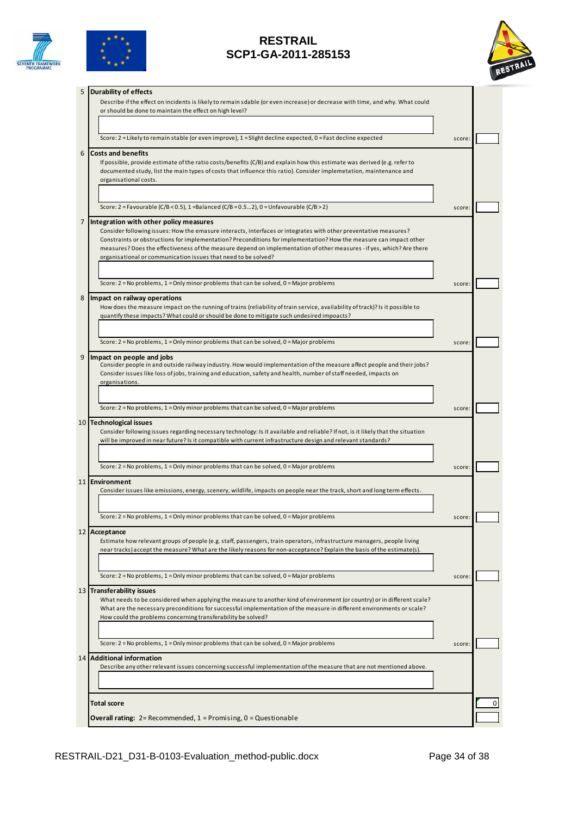





| 5 | <b>Durability of effects</b>                                                                                                                                                                                                           |        |  |
|---|----------------------------------------------------------------------------------------------------------------------------------------------------------------------------------------------------------------------------------------|--------|--|
|   | Describe if the effect on incidents is likely to remain sdable (or even increase) or decrease with time, and why. What could<br>or should be done to maintain the effect on high level?                                                |        |  |
|   |                                                                                                                                                                                                                                        |        |  |
|   |                                                                                                                                                                                                                                        |        |  |
|   | Score: 2 = Likely to remain stable (or even improve), 1 = Slight decline expected, 0 = Fast decline expected                                                                                                                           | score: |  |
| 6 | <b>Costs and benefits</b>                                                                                                                                                                                                              |        |  |
|   | If possible, provide estimate of the ratio costs/benefits (C/B) and explain how this estimate was derived (e.g. refer to                                                                                                               |        |  |
|   | documented study, list the main types of costs that influence this ratio). Consider implemetation, maintenance and<br>organisational costs.                                                                                            |        |  |
|   |                                                                                                                                                                                                                                        |        |  |
|   |                                                                                                                                                                                                                                        |        |  |
|   | Score: 2 = Favourable (C/B < 0.5), 1 = Balanced (C/B = 0.52), 0 = Unfavourable (C/B > 2)                                                                                                                                               | score: |  |
| 7 | Integration with other policy measures                                                                                                                                                                                                 |        |  |
|   | Consider following issues: How the emasure interacts, interfaces or integrates with other preventative measures?<br>Constraints or obstructions for implementation? Preconditions for implementation? How the measure can impact other |        |  |
|   | measures? Does the effectiveness of the measure depend on implementation of other measures - if yes, which? Are there                                                                                                                  |        |  |
|   | organisational or communication issues that need to be solved?                                                                                                                                                                         |        |  |
|   |                                                                                                                                                                                                                                        |        |  |
|   | Score: $2$ = No problems, $1$ = Only minor problems that can be solved, $0$ = Major problems                                                                                                                                           | score: |  |
| 8 | Impact on railway operations                                                                                                                                                                                                           |        |  |
|   | How does the measure impact on the running of trains (reliability of train service, availability of track)? Is it possible to                                                                                                          |        |  |
|   | quantify these impacts? What could or should be done to mitigate such undesired impoacts?                                                                                                                                              |        |  |
|   |                                                                                                                                                                                                                                        |        |  |
|   | Score: $2 = No$ problems, $1 = Only$ minor problems that can be solved, $0 = Major$ problems                                                                                                                                           | score  |  |
| 9 | Impact on people and jobs                                                                                                                                                                                                              |        |  |
|   | Consider people in and outside railway industry. How would implementation of the measure affect people and their jobs?                                                                                                                 |        |  |
|   | Consider issues like loss of jobs, training and education, safety and health, number of staff needed, impacts on                                                                                                                       |        |  |
|   | organisations.                                                                                                                                                                                                                         |        |  |
|   |                                                                                                                                                                                                                                        |        |  |
|   | Score: $2 = No$ problems, $1 = Only$ minor problems that can be solved, $0 = Major$ problems                                                                                                                                           | score: |  |
|   | 10 Technological issues                                                                                                                                                                                                                |        |  |
|   | Consider following issues regarding necessary technology: Is it available and reliable? If not, is it likely that the situation                                                                                                        |        |  |
|   | will be improved in near future? Is it compatible with current infrastructure design and relevant standards?                                                                                                                           |        |  |
|   |                                                                                                                                                                                                                                        |        |  |
|   | Score: $2 = No$ problems, $1 = Only$ minor problems that can be solved, $0 = Major$ problems                                                                                                                                           | score: |  |
|   | 11 Environment                                                                                                                                                                                                                         |        |  |
|   | Consider issues like emissions, energy, scenery, wildlife, impacts on people near the track, short and long term effects.                                                                                                              |        |  |
|   |                                                                                                                                                                                                                                        |        |  |
|   | Score: 2 = No problems, 1 = Only minor problems that can be solved, 0 = Major problems                                                                                                                                                 | score: |  |
|   | 12 Acceptance                                                                                                                                                                                                                          |        |  |
|   | Estimate how relevant groups of people (e.g. staff, passengers, train operators, infrastructure managers, people living                                                                                                                |        |  |
|   | near tracks) accept the measure? What are the likely reasons for non-acceptance? Explain the basis of the estimate(s).                                                                                                                 |        |  |
|   |                                                                                                                                                                                                                                        |        |  |
|   | Score: $2 = No$ problems, $1 = Only$ minor problems that can be solved, $0 = Major$ problems                                                                                                                                           | score: |  |
|   | 13 Transferability issues                                                                                                                                                                                                              |        |  |
|   | What needs to be considered when applying the measure to another kind of environment (or country) or in different scale?                                                                                                               |        |  |
|   | What are the necessary preconditions for successful implementation of the measure in different environments or scale?                                                                                                                  |        |  |
|   | How could the problems concerning transferability be solved?                                                                                                                                                                           |        |  |
|   |                                                                                                                                                                                                                                        |        |  |
|   | Score: $2 = No$ problems, $1 = Only$ minor problems that can be solved, $0 = Major$ problems                                                                                                                                           | score: |  |
|   | 14 Additional information                                                                                                                                                                                                              |        |  |
|   | Describe any other relevant issues concerning successful implementation of the measure that are not mentioned above.                                                                                                                   |        |  |
|   |                                                                                                                                                                                                                                        |        |  |
|   |                                                                                                                                                                                                                                        |        |  |
|   | Total score                                                                                                                                                                                                                            |        |  |
|   | <b>Overall rating:</b> $2 =$ Recommended, $1 =$ Promising, $0 =$ Questionable                                                                                                                                                          |        |  |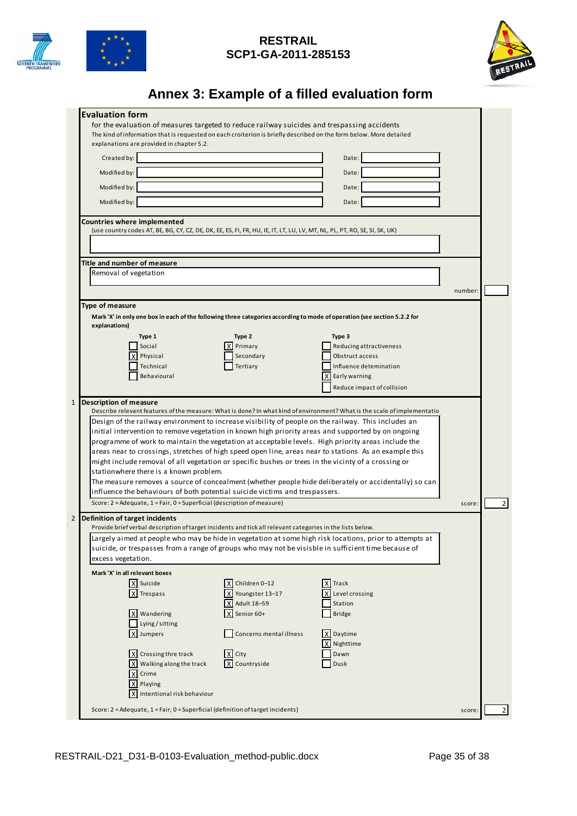



# **Annex 3: Example of a filled evaluation form**

|                                        | <b>Evaluation form</b>                                                                                                                                          |                         |                                                                                                                          |         |                |  |  |  |  |
|----------------------------------------|-----------------------------------------------------------------------------------------------------------------------------------------------------------------|-------------------------|--------------------------------------------------------------------------------------------------------------------------|---------|----------------|--|--|--|--|
|                                        | for the evaluation of measures targeted to reduce railway suicides and trespassing accidents                                                                    |                         |                                                                                                                          |         |                |  |  |  |  |
|                                        | The kind of information that is requested on each croiterion is briefly described on the form below. More detailed<br>explanations are provided in chapter 5.2. |                         |                                                                                                                          |         |                |  |  |  |  |
|                                        |                                                                                                                                                                 |                         |                                                                                                                          |         |                |  |  |  |  |
|                                        | Created by:                                                                                                                                                     |                         | Date:                                                                                                                    |         |                |  |  |  |  |
|                                        | Modified by:                                                                                                                                                    |                         | Date:                                                                                                                    |         |                |  |  |  |  |
|                                        | Modified by:                                                                                                                                                    |                         | Date:                                                                                                                    |         |                |  |  |  |  |
|                                        |                                                                                                                                                                 |                         |                                                                                                                          |         |                |  |  |  |  |
|                                        | Modified by:                                                                                                                                                    |                         | Date:                                                                                                                    |         |                |  |  |  |  |
|                                        | <b>Countries where implemented</b>                                                                                                                              |                         |                                                                                                                          |         |                |  |  |  |  |
|                                        | (use country codes AT, BE, BG, CY, CZ, DE, DK, EE, ES, FI, FR, HU, IE, IT, LT, LU, LV, MT, NL, PL, PT, RO, SE, SI, SK, UK)                                      |                         |                                                                                                                          |         |                |  |  |  |  |
|                                        |                                                                                                                                                                 |                         |                                                                                                                          |         |                |  |  |  |  |
|                                        |                                                                                                                                                                 |                         |                                                                                                                          |         |                |  |  |  |  |
|                                        | Title and number of measure                                                                                                                                     |                         |                                                                                                                          |         |                |  |  |  |  |
|                                        | Removal of vegetation                                                                                                                                           |                         |                                                                                                                          |         |                |  |  |  |  |
|                                        |                                                                                                                                                                 |                         |                                                                                                                          | number: |                |  |  |  |  |
|                                        |                                                                                                                                                                 |                         |                                                                                                                          |         |                |  |  |  |  |
| Type of measure                        |                                                                                                                                                                 |                         |                                                                                                                          |         |                |  |  |  |  |
| explanations)                          |                                                                                                                                                                 |                         | Mark 'X' in only one box in each of the following three categories according to mode of operation (see section 5.2.2 for |         |                |  |  |  |  |
|                                        |                                                                                                                                                                 |                         |                                                                                                                          |         |                |  |  |  |  |
|                                        | Type 1<br>Social                                                                                                                                                | Type 2<br>Primary       | Type 3<br>Reducing attractiveness                                                                                        |         |                |  |  |  |  |
|                                        | Physical                                                                                                                                                        | Secondary               | Obstruct access                                                                                                          |         |                |  |  |  |  |
|                                        | Technical                                                                                                                                                       | Tertiary                | Influence detemination                                                                                                   |         |                |  |  |  |  |
|                                        | Behavioural                                                                                                                                                     |                         | χI<br>Early warning                                                                                                      |         |                |  |  |  |  |
|                                        |                                                                                                                                                                 |                         | Reduce impact of collision                                                                                               |         |                |  |  |  |  |
|                                        |                                                                                                                                                                 |                         |                                                                                                                          |         |                |  |  |  |  |
| $\mathbf{1}$                           | <b>Description of measure</b>                                                                                                                                   |                         |                                                                                                                          |         |                |  |  |  |  |
|                                        |                                                                                                                                                                 |                         | Describe relevant features of the measure: What is done? In what kind of environment? What is the scale of implementatio |         |                |  |  |  |  |
|                                        |                                                                                                                                                                 |                         | Design of the railway environment to increase visibility of people on the railway. This includes an                      |         |                |  |  |  |  |
|                                        |                                                                                                                                                                 |                         | initial intervention to remove vegetation in known high priority areas and supported by on ongoing                       |         |                |  |  |  |  |
|                                        |                                                                                                                                                                 |                         | programme of work to maintain the vegetation at acceptable levels. High priority areas include the                       |         |                |  |  |  |  |
|                                        |                                                                                                                                                                 |                         | areas near to crossings, stretches of high speed open line, areas near to stations As an example this                    |         |                |  |  |  |  |
|                                        |                                                                                                                                                                 |                         |                                                                                                                          |         |                |  |  |  |  |
| stationwhere there is a known problem. |                                                                                                                                                                 |                         |                                                                                                                          |         |                |  |  |  |  |
|                                        |                                                                                                                                                                 |                         | might include removal of all vegetation or specific bushes or trees in the vicinty of a crossing or                      |         |                |  |  |  |  |
|                                        |                                                                                                                                                                 |                         | The measure removes a source of concealment (whether people hide deliberately or accidentally) so can                    |         |                |  |  |  |  |
|                                        | influence the behaviours of both potential suicide victims and trespassers.                                                                                     |                         |                                                                                                                          |         |                |  |  |  |  |
|                                        | Score: 2 = Adequate, 1 = Fair, 0 = Superficial (description of measure)                                                                                         |                         |                                                                                                                          | score:  |                |  |  |  |  |
|                                        | Definition of target incidents                                                                                                                                  |                         |                                                                                                                          |         |                |  |  |  |  |
|                                        | Provide brief verbal description of target incidents and tick all relevant categories in the lists below.                                                       |                         |                                                                                                                          |         |                |  |  |  |  |
|                                        |                                                                                                                                                                 |                         | Largely aimed at people who may be hide in vegetation at some high risk locations, prior to attempts at                  |         |                |  |  |  |  |
|                                        |                                                                                                                                                                 |                         | suicide, or trespasses from a range of groups who may not be visisble in sufficient time because of                      |         |                |  |  |  |  |
|                                        | excess vegetation.                                                                                                                                              |                         |                                                                                                                          |         |                |  |  |  |  |
|                                        |                                                                                                                                                                 |                         |                                                                                                                          |         |                |  |  |  |  |
|                                        | Mark 'X' in all relevant boxes                                                                                                                                  |                         |                                                                                                                          |         |                |  |  |  |  |
|                                        | X Suicide                                                                                                                                                       | X Children 0-12         | X Track                                                                                                                  |         |                |  |  |  |  |
|                                        | X Trespass                                                                                                                                                      | X Youngster 13-17       | Level crossing                                                                                                           |         |                |  |  |  |  |
|                                        |                                                                                                                                                                 | X Adult 18-59           | Station                                                                                                                  |         |                |  |  |  |  |
|                                        | X Wandering                                                                                                                                                     | X Senior 60+            | <b>Bridge</b>                                                                                                            |         |                |  |  |  |  |
|                                        | Lying / sitting                                                                                                                                                 |                         |                                                                                                                          |         | 2 <sub>1</sub> |  |  |  |  |
| $\overline{2}$                         | X Jumpers                                                                                                                                                       | Concerns mental illness | X Daytime                                                                                                                |         |                |  |  |  |  |
|                                        |                                                                                                                                                                 |                         | Nighttime<br>χI                                                                                                          |         |                |  |  |  |  |
|                                        | X Crossing thre track                                                                                                                                           | X City                  | Dawn                                                                                                                     |         |                |  |  |  |  |
|                                        | X Walking along the track                                                                                                                                       | X Countryside           | Dusk                                                                                                                     |         |                |  |  |  |  |
|                                        | X Crime                                                                                                                                                         |                         |                                                                                                                          |         |                |  |  |  |  |
|                                        | X Playing                                                                                                                                                       |                         |                                                                                                                          |         |                |  |  |  |  |
|                                        | X Intentional risk behaviour                                                                                                                                    |                         |                                                                                                                          |         |                |  |  |  |  |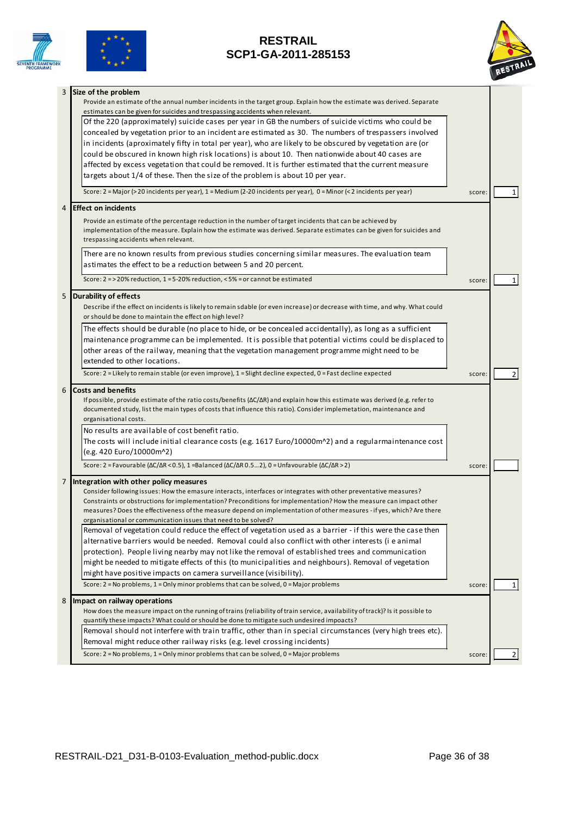





| 3 | Size of the problem                                                                                                                                                                                    |        |                |
|---|--------------------------------------------------------------------------------------------------------------------------------------------------------------------------------------------------------|--------|----------------|
|   | Provide an estimate of the annual number incidents in the target group. Explain how the estimate was derived. Separate<br>estimates can be given for suicides and trespassing accidents when relevant. |        |                |
|   |                                                                                                                                                                                                        |        |                |
|   | Of the 220 (approximately) suicide cases per year in GB the numbers of suicide victims who could be                                                                                                    |        |                |
|   | concealed by vegetation prior to an incident are estimated as 30. The numbers of trespassers involved                                                                                                  |        |                |
|   | in incidents (aproximately fifty in total per year), who are likely to be obscured by vegetation are (or                                                                                               |        |                |
|   | could be obscured in known high risk locations) is about 10. Then nationwide about 40 cases are                                                                                                        |        |                |
|   | affected by excess vegetation that could be removed. It is further estimated that the current measure                                                                                                  |        |                |
|   | targets about 1/4 of these. Then the size of the problem is about 10 per year.                                                                                                                         |        |                |
|   | Score: 2 = Major (> 20 incidents per year), 1 = Medium (2-20 incidents per year), 0 = Minor (< 2 incidents per year)                                                                                   | score: | 1 <sup>1</sup> |
| 4 | <b>Effect on incidents</b>                                                                                                                                                                             |        |                |
|   | Provide an estimate of the percentage reduction in the number of target incidents that can be achieved by                                                                                              |        |                |
|   | implementation of the measure. Explain how the estimate was derived. Separate estimates can be given for suicides and                                                                                  |        |                |
|   | trespassing accidents when relevant.                                                                                                                                                                   |        |                |
|   | There are no known results from previous studies concerning similar measures. The evaluation team                                                                                                      |        |                |
|   | astimates the effect to be a reduction between 5 and 20 percent.                                                                                                                                       |        |                |
|   | Score: 2 = > 20% reduction, 1 = 5-20% reduction, < 5% = or cannot be estimated                                                                                                                         | score: |                |
|   |                                                                                                                                                                                                        |        |                |
| 5 | <b>Durability of effects</b>                                                                                                                                                                           |        |                |
|   | Describe if the effect on incidents is likely to remain sdable (or even increase) or decrease with time, and why. What could                                                                           |        |                |
|   | or should be done to maintain the effect on high level?                                                                                                                                                |        |                |
|   | The effects should be durable (no place to hide, or be concealed accidentally), as long as a sufficient                                                                                                |        |                |
|   | maintenance programme can be implemented. It is possible that potential victims could be displaced to                                                                                                  |        |                |
|   | other areas of the railway, meaning that the vegetation management programme might need to be                                                                                                          |        |                |
|   | extended to other locations.                                                                                                                                                                           |        |                |
|   | Score: 2 = Likely to remain stable (or even improve), 1 = Slight decline expected, 0 = Fast decline expected                                                                                           | score: | $\overline{2}$ |
| 6 | <b>Costs and benefits</b>                                                                                                                                                                              |        |                |
|   | If possible, provide estimate of the ratio costs/benefits ( $\Delta C/\Delta R$ ) and explain how this estimate was derived (e.g. refer to                                                             |        |                |
|   | documented study, list the main types of costs that influence this ratio). Consider implemetation, maintenance and                                                                                     |        |                |
|   | organisational costs.                                                                                                                                                                                  |        |                |
|   | No results are available of cost benefit ratio.                                                                                                                                                        |        |                |
|   | The costs will include initial clearance costs (e.g. 1617 Euro/10000m^2) and a regularmaintenance cost                                                                                                 |        |                |
|   |                                                                                                                                                                                                        |        |                |
|   | (e.g. 420 Euro/10000m^2)<br>Score: 2 = Favourable ( $\Delta C/\Delta R$ < 0.5), 1 = Balanced ( $\Delta C/\Delta R$ 0.52), 0 = Unfavourable ( $\Delta C/\Delta R$ > 2)                                  |        |                |
|   |                                                                                                                                                                                                        | score: |                |
| 7 | Integration with other policy measures                                                                                                                                                                 |        |                |
|   | Consider following issues: How the emasure interacts, interfaces or integrates with other preventative measures?                                                                                       |        |                |
|   | Constraints or obstructions for implementation? Preconditions for implementation? How the measure can impact other                                                                                     |        |                |
|   | measures? Does the effectiveness of the measure depend on implementation of other measures - if yes, which? Are there                                                                                  |        |                |
|   | organisational or communication issues that need to be solved?                                                                                                                                         |        |                |
|   | Removal of vegetation could reduce the effect of vegetation used as a barrier - if this were the case then                                                                                             |        |                |
|   | alternative barriers would be needed. Removal could also conflict with other interests (i e animal                                                                                                     |        |                |
|   | protection). People living nearby may not like the removal of established trees and communication                                                                                                      |        |                |
|   | might be needed to mitigate effects of this (to municipalities and neighbours). Removal of vegetation                                                                                                  |        |                |
|   | might have positive impacts on camera surveillance (visibility).                                                                                                                                       |        |                |
|   | Score: $2 = No$ problems, $1 = Only$ minor problems that can be solved, $0 = Major$ problems                                                                                                           | score: | 1 I            |
| 8 | Impact on railway operations                                                                                                                                                                           |        |                |
|   | How does the measure impact on the running of trains (reliability of train service, availability of track)? Is it possible to                                                                          |        |                |
|   | quantify these impacts? What could or should be done to mitigate such undesired impoacts?                                                                                                              |        |                |
|   | Removal should not interfere with train traffic, other than in special circumstances (very high trees etc).                                                                                            |        |                |
|   | Removal might reduce other railway risks (e.g. level crossing incidents)                                                                                                                               |        |                |
|   | Score: $2 = No$ problems, $1 = Only$ minor problems that can be solved, $0 = Major$ problems                                                                                                           | score  | $\overline{2}$ |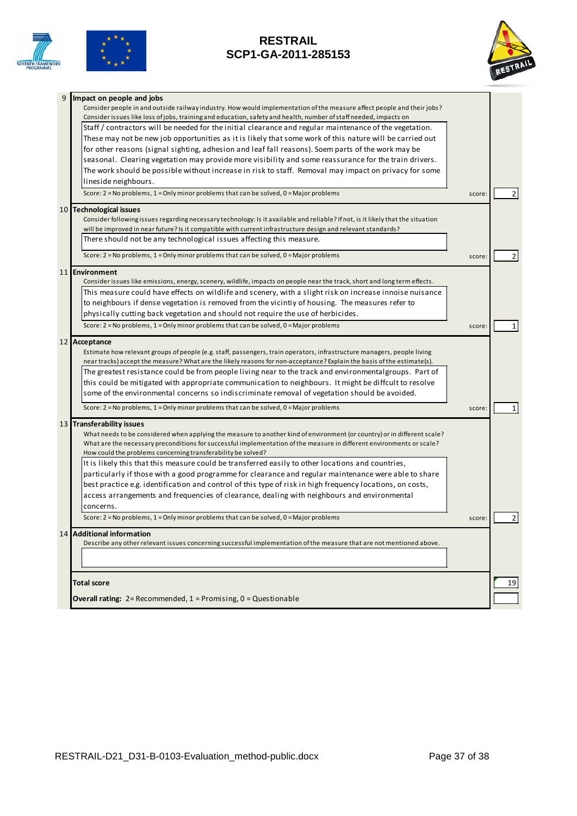





| 9 | Impact on people and jobs                                                                                                                                                             |        |    |
|---|---------------------------------------------------------------------------------------------------------------------------------------------------------------------------------------|--------|----|
|   | Consider people in and outside railway industry. How would implementation of the measure affect people and their jobs?                                                                |        |    |
|   | Consider issues like loss of jobs, training and education, safety and health, number of staff needed, impacts on                                                                      |        |    |
|   | Staff / contractors will be needed for the initial clearance and regular maintenance of the vegetation.                                                                               |        |    |
|   | These may not be new job opportunities as it is likely that some work of this nature will be carried out                                                                              |        |    |
|   | for other reasons (signal sighting, adhesion and leaf fall reasons). Soem parts of the work may be                                                                                    |        |    |
|   | seasonal. Clearing vegetation may provide more visibility and some reassurance for the train drivers.                                                                                 |        |    |
|   | The work should be possible without increase in risk to staff. Removal may impact on privacy for some                                                                                 |        |    |
|   | lineside neighbours.                                                                                                                                                                  |        |    |
|   | Score: $2 = No$ problems, $1 = Only$ minor problems that can be solved, $0 = Major$ problems                                                                                          | score: | 2  |
|   | 10 Technological issues                                                                                                                                                               |        |    |
|   | Consider following issues regarding necessary technology: Is it available and reliable? If not, is it likely that the situation                                                       |        |    |
|   | will be improved in near future? Is it compatible with current infrastructure design and relevant standards?                                                                          |        |    |
|   | There should not be any technological issues affecting this measure.                                                                                                                  |        |    |
|   | Score: 2 = No problems, 1 = Only minor problems that can be solved, 0 = Major problems                                                                                                | score  | 2  |
|   | 11 Environment                                                                                                                                                                        |        |    |
|   | Consider issues like emissions, energy, scenery, wildlife, impacts on people near the track, short and long term effects.                                                             |        |    |
|   | This measure could have effects on wildlife and scenery, with a slight risk on increase innoise nuisance                                                                              |        |    |
|   | to neighbours if dense vegetation is removed from the vicintiy of housing. The measures refer to                                                                                      |        |    |
|   | physically cutting back vegetation and should not require the use of herbicides.                                                                                                      |        |    |
|   | Score: 2 = No problems, 1 = Only minor problems that can be solved, 0 = Major problems                                                                                                | score  | 1  |
|   | 12 Acceptance                                                                                                                                                                         |        |    |
|   | Estimate how relevant groups of people (e.g. staff, passengers, train operators, infrastructure managers, people living                                                               |        |    |
|   | near tracks) accept the measure? What are the likely reasons for non-acceptance? Explain the basis of the estimate(s).                                                                |        |    |
|   | The greatest resistance could be from people living near to the track and environmentalgroups. Part of                                                                                |        |    |
|   | this could be mitigated with appropriate communication to neighbours. It might be diffcult to resolve                                                                                 |        |    |
|   | some of the environmental concerns so indiscriminate removal of vegetation should be avoided.                                                                                         |        |    |
|   | Score: $2 = No$ problems, $1 = Only$ minor problems that can be solved, $0 = Major$ problems                                                                                          | score  |    |
|   | 13 Transferability issues                                                                                                                                                             |        |    |
|   | What needs to be considered when applying the measure to another kind of environment (or country) or in different scale?                                                              |        |    |
|   | What are the necessary preconditions for successful implementation of the measure in different environments or scale?<br>How could the problems concerning transferability be solved? |        |    |
|   | It is likely this that this measure could be transferred easily to other locations and countries,                                                                                     |        |    |
|   | particularly if those with a good programme for clearance and regular maintenance were able to share                                                                                  |        |    |
|   | best practice e.g. identification and control of this type of risk in high frequency locations, on costs,                                                                             |        |    |
|   | access arrangements and frequencies of clearance, dealing with neighbours and environmental                                                                                           |        |    |
|   |                                                                                                                                                                                       |        |    |
|   | concerns.<br>Score: $2 = No$ problems, $1 = Only$ minor problems that can be solved, $0 = Major$ problems                                                                             | score  |    |
|   |                                                                                                                                                                                       |        |    |
|   | 14 Additional information<br>Describe any other relevant issues concerning successful implementation of the measure that are not mentioned above.                                     |        |    |
|   |                                                                                                                                                                                       |        |    |
|   |                                                                                                                                                                                       |        |    |
|   |                                                                                                                                                                                       |        |    |
|   | <b>Total score</b>                                                                                                                                                                    |        | 19 |
|   | <b>Overall rating:</b> $2 =$ Recommended, $1 =$ Promising, $0 =$ Questionable                                                                                                         |        |    |